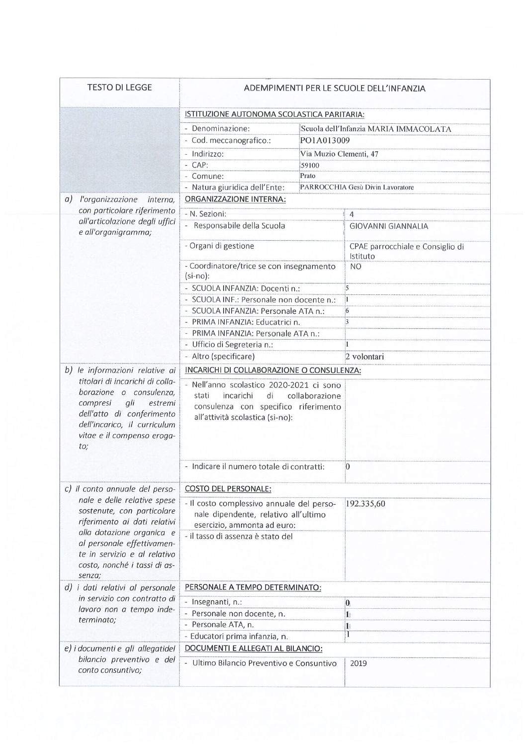| <b>TESTO DI LEGGE</b>                                                                                                                                   | ADEMPIMENTI PER LE SCUOLE DELL'INFANZIA                                                                                                          |                        |                                              |  |  |
|---------------------------------------------------------------------------------------------------------------------------------------------------------|--------------------------------------------------------------------------------------------------------------------------------------------------|------------------------|----------------------------------------------|--|--|
|                                                                                                                                                         | ISTITUZIONE AUTONOMA SCOLASTICA PARITARIA:                                                                                                       |                        |                                              |  |  |
|                                                                                                                                                         | - Denominazione:                                                                                                                                 |                        | Scuola dell'Infanzia MARIA IMMACOLATA        |  |  |
|                                                                                                                                                         | - Cod. meccanografico.:                                                                                                                          | PO1A013009             |                                              |  |  |
|                                                                                                                                                         | - Indirizzo:                                                                                                                                     | Via Muzio Clementi, 47 |                                              |  |  |
|                                                                                                                                                         | - CAP:                                                                                                                                           | 59100                  |                                              |  |  |
|                                                                                                                                                         | - Comune:                                                                                                                                        | Prato                  |                                              |  |  |
|                                                                                                                                                         | - Natura giuridica dell'Ente:                                                                                                                    |                        | PARROCCHIA Gesù Divin Lavoratore             |  |  |
| a)<br>l'organizzazione<br>interna,                                                                                                                      | ORGANIZZAZIONE INTERNA:                                                                                                                          |                        |                                              |  |  |
| con particolare riferimento                                                                                                                             | - N. Sezioni:                                                                                                                                    |                        | $\overline{4}$                               |  |  |
| all'articolazione degli uffici<br>e all'organigramma;                                                                                                   | - Responsabile della Scuola                                                                                                                      |                        | <b>GIOVANNI GIANNALIA</b>                    |  |  |
|                                                                                                                                                         | - Organi di gestione                                                                                                                             |                        | CPAE parrocchiale e Consiglio di<br>Istituto |  |  |
|                                                                                                                                                         | - Coordinatore/trice se con insegnamento<br>$(si-no):$                                                                                           |                        | <b>NO</b>                                    |  |  |
|                                                                                                                                                         | - SCUOLA INFANZIA: Docentin.:                                                                                                                    |                        | $\overline{5}$                               |  |  |
|                                                                                                                                                         | - SCUOLA INF.: Personale non docente n.:                                                                                                         |                        | 1                                            |  |  |
|                                                                                                                                                         | - SCUOLA INFANZIA: Personale ATA n.:                                                                                                             |                        | 6                                            |  |  |
|                                                                                                                                                         | - PRIMA INFANZIA: Educatrici n.                                                                                                                  |                        | $\overline{3}$                               |  |  |
|                                                                                                                                                         | - PRIMA INFANZIA: Personale ATA n.:                                                                                                              |                        | 1                                            |  |  |
|                                                                                                                                                         | - Ufficio di Segreteria n.:<br>- Altro (specificare)                                                                                             |                        | 2 volontari                                  |  |  |
|                                                                                                                                                         |                                                                                                                                                  |                        |                                              |  |  |
| b) le informazioni relative ai<br>titolari di incarichi di colla-                                                                                       | INCARICHI DI COLLABORAZIONE O CONSULENZA:                                                                                                        |                        |                                              |  |  |
| borazione o consulenza,<br>gli<br>compresi<br>estremi<br>dell'atto di conferimento<br>dell'incarico, il curriculum<br>vitae e il compenso eroga-<br>to; | - Nell'anno scolastico 2020-2021 ci sono<br>di<br>incarichi<br>stati<br>consulenza con specifico riferimento<br>all'attività scolastica (si-no): | collaborazione         |                                              |  |  |
|                                                                                                                                                         | - Indicare il numero totale di contratti:                                                                                                        |                        | $\overline{0}$                               |  |  |
| c) il conto annuale del perso-                                                                                                                          | <b>COSTO DEL PERSONALE:</b>                                                                                                                      |                        |                                              |  |  |
| nale e delle relative spese<br>sostenute, con particolare<br>riferimento ai dati relativi<br>alla dotazione organica e                                  | - Il costo complessivo annuale del perso-<br>nale dipendente, relativo all'ultimo<br>esercizio, ammonta ad euro:                                 |                        | 192.335,60                                   |  |  |
| al personale effettivamen-<br>te in servizio e al relativo<br>costo, nonché i tassi di as-<br>senza;                                                    | - il tasso di assenza è stato del                                                                                                                |                        |                                              |  |  |
| d) i dati relativi al personale                                                                                                                         | PERSONALE A TEMPO DETERMINATO:                                                                                                                   |                        |                                              |  |  |
| in servizio con contratto di                                                                                                                            | - Insegnanti, n.:                                                                                                                                |                        | $\boldsymbol{0}$                             |  |  |
| lavoro non a tempo inde-                                                                                                                                | - Personale non docente, n.                                                                                                                      |                        | $\mathbf{1}$                                 |  |  |
| terminato;                                                                                                                                              | - Personale ATA, n.                                                                                                                              |                        | 1                                            |  |  |
|                                                                                                                                                         | - Educatori prima infanzia, n.                                                                                                                   |                        | I                                            |  |  |
| e) i documenti e gli allegatidel                                                                                                                        | DOCUMENTI E ALLEGATI AL BILANCIO:                                                                                                                |                        |                                              |  |  |
| bilancio preventivo e del<br>conto consuntivo;                                                                                                          | - Ultimo Bilancio Preventivo e Consuntivo                                                                                                        |                        | 2019                                         |  |  |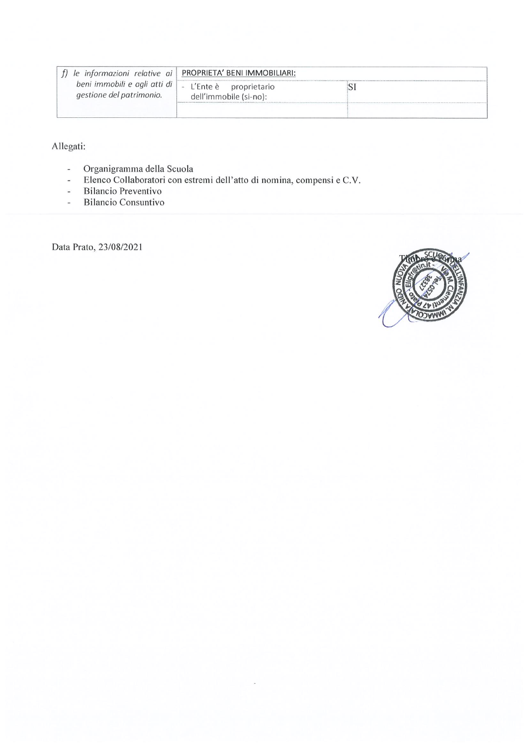|                                                          | le informazioni relative ai PROPRIETA' BENI IMMOBILIARI: |  |
|----------------------------------------------------------|----------------------------------------------------------|--|
| beni immobili e agli atti di<br>gestione del patrimonio. | - L'Ente è proprietario<br>dell'immobile (si-no):        |  |
|                                                          |                                                          |  |

Allegati:

- $\overline{\phantom{a}}$
- Organigramma della Scuola<br>Elenco Collaboratori con estremi dell'atto di nomina, compensi e C.V.  $\omega$
- **Bilancio Preventivo**  $\omega$
- **Bilancio Consuntivo**  $\overline{\phantom{a}}$

Data Prato, 23/08/2021

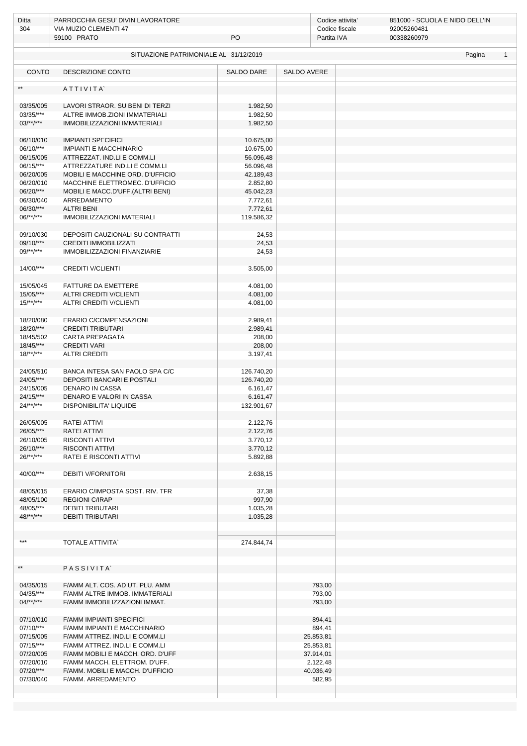| Ditta                  | PARROCCHIA GESU' DIVIN LAVORATORE     |            |             | Codice attivita' | 851000 - SCUOLA E NIDO DELL'IN |              |
|------------------------|---------------------------------------|------------|-------------|------------------|--------------------------------|--------------|
| 304                    | VIA MUZIO CLEMENTI 47                 |            |             | Codice fiscale   | 92005260481                    |              |
|                        | 59100 PRATO                           | PO         |             | Partita IVA      | 00338260979                    |              |
|                        |                                       |            |             |                  |                                |              |
|                        | SITUAZIONE PATRIMONIALE AL 31/12/2019 |            |             |                  | Pagina                         | $\mathbf{1}$ |
|                        |                                       |            |             |                  |                                |              |
| <b>CONTO</b>           | <b>DESCRIZIONE CONTO</b>              | SALDO DARE | SALDO AVERE |                  |                                |              |
|                        |                                       |            |             |                  |                                |              |
| $**$                   | ATTIVITA                              |            |             |                  |                                |              |
| 03/35/005              | LAVORI STRAOR. SU BENI DI TERZI       |            |             |                  |                                |              |
|                        |                                       | 1.982,50   |             |                  |                                |              |
| 03/35/***              | ALTRE IMMOB.ZIONI IMMATERIALI         | 1.982,50   |             |                  |                                |              |
| $03/**/***$            | <b>IMMOBILIZZAZIONI IMMATERIALI</b>   | 1.982,50   |             |                  |                                |              |
|                        |                                       |            |             |                  |                                |              |
| 06/10/010              | <b>IMPIANTI SPECIFICI</b>             | 10.675,00  |             |                  |                                |              |
| 06/10/***              | <b>IMPIANTI E MACCHINARIO</b>         | 10.675,00  |             |                  |                                |              |
| 06/15/005              | ATTREZZAT. IND.LI E COMM.LI           | 56.096,48  |             |                  |                                |              |
| 06/15/***              | ATTREZZATURE IND.LI E COMM.LI         | 56.096,48  |             |                  |                                |              |
| 06/20/005              | MOBILI E MACCHINE ORD. D'UFFICIO      | 42.189,43  |             |                  |                                |              |
| 06/20/010              | MACCHINE ELETTROMEC. D'UFFICIO        | 2.852,80   |             |                  |                                |              |
| 06/20/***              | MOBILI E MACC.D'UFF.(ALTRI BENI)      | 45.042,23  |             |                  |                                |              |
| 06/30/040              | ARREDAMENTO                           | 7.772,61   |             |                  |                                |              |
| 06/30/***              | <b>ALTRI BENI</b>                     | 7.772,61   |             |                  |                                |              |
| $06$ /**/***           | <b>IMMOBILIZZAZIONI MATERIALI</b>     | 119.586,32 |             |                  |                                |              |
|                        |                                       |            |             |                  |                                |              |
| 09/10/030              | DEPOSITI CAUZIONALI SU CONTRATTI      | 24,53      |             |                  |                                |              |
| 09/10/***              | <b>CREDITI IMMOBILIZZATI</b>          | 24,53      |             |                  |                                |              |
| $09$ /**/***           | IMMOBILIZZAZIONI FINANZIARIE          | 24,53      |             |                  |                                |              |
|                        |                                       |            |             |                  |                                |              |
| 14/00/***              | <b>CREDITI V/CLIENTI</b>              | 3.505,00   |             |                  |                                |              |
|                        |                                       |            |             |                  |                                |              |
| 15/05/045              | FATTURE DA EMETTERE                   | 4.081,00   |             |                  |                                |              |
| 15/05/***              | <b>ALTRI CREDITI V/CLIENTI</b>        | 4.081,00   |             |                  |                                |              |
| $15/**/***$            | ALTRI CREDITI V/CLIENTI               | 4.081,00   |             |                  |                                |              |
|                        |                                       |            |             |                  |                                |              |
| 18/20/080              | ERARIO C/COMPENSAZIONI                | 2.989,41   |             |                  |                                |              |
| 18/20/***              | <b>CREDITI TRIBUTARI</b>              | 2.989,41   |             |                  |                                |              |
| 18/45/502              | CARTA PREPAGATA                       | 208,00     |             |                  |                                |              |
| $18/45$ /***           | <b>CREDITI VARI</b>                   | 208,00     |             |                  |                                |              |
| $18$ /**/***           | <b>ALTRI CREDITI</b>                  | 3.197,41   |             |                  |                                |              |
|                        |                                       |            |             |                  |                                |              |
| 24/05/510              | BANCA INTESA SAN PAOLO SPA C/C        | 126.740,20 |             |                  |                                |              |
| 24/05/***              | DEPOSITI BANCARI E POSTALI            | 126.740,20 |             |                  |                                |              |
| 24/15/005              | <b>DENARO IN CASSA</b>                | 6.161,47   |             |                  |                                |              |
| 24/15/***              | DENARO E VALORI IN CASSA              | 6.161,47   |             |                  |                                |              |
| $24$ /**/***           | DISPONIBILITA' LIQUIDE                | 132.901,67 |             |                  |                                |              |
|                        |                                       |            |             |                  |                                |              |
| 26/05/005              | RATEI ATTIVI                          | 2.122,76   |             |                  |                                |              |
| 26/05/***              | RATEI ATTIVI                          | 2.122,76   |             |                  |                                |              |
| 26/10/005              | RISCONTI ATTIVI                       | 3.770,12   |             |                  |                                |              |
| 26/10/***              | <b>RISCONTI ATTIVI</b>                | 3.770,12   |             |                  |                                |              |
| $26$ /**/***           |                                       |            |             |                  |                                |              |
|                        | RATEI E RISCONTI ATTIVI               | 5.892,88   |             |                  |                                |              |
|                        |                                       |            |             |                  |                                |              |
| 40/00/***              | <b>DEBITI V/FORNITORI</b>             | 2.638,15   |             |                  |                                |              |
|                        |                                       |            |             |                  |                                |              |
| 48/05/015              | ERARIO C/IMPOSTA SOST. RIV. TFR       | 37,38      |             |                  |                                |              |
| 48/05/100<br>48/05/*** | <b>REGIONI C/IRAP</b>                 | 997,90     |             |                  |                                |              |
|                        | <b>DEBITI TRIBUTARI</b>               | 1.035,28   |             |                  |                                |              |
| $48$ /**/***           | <b>DEBITI TRIBUTARI</b>               | 1.035,28   |             |                  |                                |              |
|                        |                                       |            |             |                  |                                |              |
| ***                    | <b>TOTALE ATTIVITA</b>                |            |             |                  |                                |              |
|                        |                                       | 274.844,74 |             |                  |                                |              |
|                        |                                       |            |             |                  |                                |              |
|                        |                                       |            |             |                  |                                |              |
| $**$                   | PASSIVITA                             |            |             |                  |                                |              |
|                        |                                       |            |             |                  |                                |              |
| 04/35/015              | F/AMM ALT. COS. AD UT. PLU. AMM       |            | 793,00      |                  |                                |              |
| 04/35/***              | F/AMM ALTRE IMMOB. IMMATERIALI        |            | 793,00      |                  |                                |              |
| $04/**/***$            | F/AMM IMMOBILIZZAZIONI IMMAT.         |            | 793,00      |                  |                                |              |
|                        |                                       |            |             |                  |                                |              |
| 07/10/010              | <b>F/AMM IMPIANTI SPECIFICI</b>       |            | 894,41      |                  |                                |              |
| $07/10$ /***           | F/AMM IMPIANTI E MACCHINARIO          |            | 894,41      |                  |                                |              |
| 07/15/005              | F/AMM ATTREZ. IND.LI E COMM.LI        |            | 25.853,81   |                  |                                |              |
| $07/15$ /***           | F/AMM ATTREZ. IND.LI E COMM.LI        |            | 25.853,81   |                  |                                |              |
| 07/20/005              | F/AMM MOBILI E MACCH. ORD. D'UFF      |            | 37.914,01   |                  |                                |              |
| 07/20/010              | F/AMM MACCH. ELETTROM. D'UFF.         |            | 2.122,48    |                  |                                |              |
| 07/20/***              | F/AMM. MOBILI E MACCH. D'UFFICIO      |            | 40.036,49   |                  |                                |              |
| 07/30/040              | F/AMM. ARREDAMENTO                    |            | 582,95      |                  |                                |              |
|                        |                                       |            |             |                  |                                |              |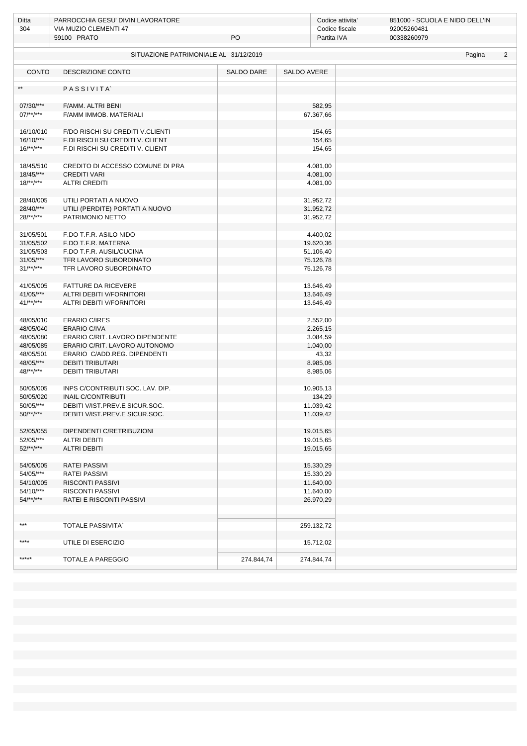| Ditta<br>304           | PARROCCHIA GESU' DIVIN LAVORATORE<br>VIA MUZIO CLEMENTI 47<br>59100 PRATO<br>PO |            |                    | Codice attivita'<br>Codice fiscale<br>Partita IVA | 851000 - SCUOLA E NIDO DELL'IN<br>92005260481<br>00338260979 |        |                |
|------------------------|---------------------------------------------------------------------------------|------------|--------------------|---------------------------------------------------|--------------------------------------------------------------|--------|----------------|
|                        |                                                                                 |            |                    |                                                   |                                                              |        |                |
|                        | SITUAZIONE PATRIMONIALE AL 31/12/2019                                           |            |                    |                                                   |                                                              | Pagina | $\overline{2}$ |
| <b>CONTO</b>           | DESCRIZIONE CONTO                                                               | SALDO DARE | <b>SALDO AVERE</b> |                                                   |                                                              |        |                |
| $**$                   | PASSIVITA                                                                       |            |                    |                                                   |                                                              |        |                |
| 07/30/***              | F/AMM. ALTRI BENI                                                               |            |                    | 582,95                                            |                                                              |        |                |
| $07$ /**/***           | F/AMM IMMOB. MATERIALI                                                          |            |                    | 67.367,66                                         |                                                              |        |                |
| 16/10/010              | F/DO RISCHI SU CREDITI V.CLIENTI                                                |            |                    | 154,65                                            |                                                              |        |                |
| $16/10$ /***           | F.DI RISCHI SU CREDITI V. CLIENT                                                |            |                    | 154,65                                            |                                                              |        |                |
| $16$ /**/***           | F.DI RISCHI SU CREDITI V. CLIENT                                                |            |                    | 154,65                                            |                                                              |        |                |
| 18/45/510              | CREDITO DI ACCESSO COMUNE DI PRA                                                |            |                    | 4.081,00                                          |                                                              |        |                |
| $18/45$ /***           | <b>CREDITI VARI</b>                                                             |            |                    | 4.081,00                                          |                                                              |        |                |
| $18$ /**/***           | <b>ALTRI CREDITI</b>                                                            |            |                    | 4.081,00                                          |                                                              |        |                |
| 28/40/005              | UTILI PORTATI A NUOVO                                                           |            |                    | 31.952,72                                         |                                                              |        |                |
| 28/40/***              | UTILI (PERDITE) PORTATI A NUOVO                                                 |            |                    | 31.952,72                                         |                                                              |        |                |
| $28$ /**/***           | PATRIMONIO NETTO                                                                |            |                    | 31.952,72                                         |                                                              |        |                |
|                        |                                                                                 |            |                    |                                                   |                                                              |        |                |
| 31/05/501              | F.DO T.F.R. ASILO NIDO<br>F.DO T.F.R. MATERNA                                   |            |                    | 4.400,02                                          |                                                              |        |                |
| 31/05/502<br>31/05/503 | F.DO T.F.R. AUSIL/CUCINA                                                        |            |                    | 19.620,36<br>51.106,40                            |                                                              |        |                |
| $31/05$ /***           | TFR LAVORO SUBORDINATO                                                          |            |                    | 75.126,78                                         |                                                              |        |                |
| $31$ /**/***           | TFR LAVORO SUBORDINATO                                                          |            |                    | 75.126,78                                         |                                                              |        |                |
|                        |                                                                                 |            |                    |                                                   |                                                              |        |                |
| 41/05/005              | FATTURE DA RICEVERE                                                             |            |                    | 13.646,49                                         |                                                              |        |                |
| 41/05/***              | ALTRI DEBITI V/FORNITORI                                                        |            |                    | 13.646,49                                         |                                                              |        |                |
| $41$ /**/***           | ALTRI DEBITI V/FORNITORI                                                        |            |                    | 13.646,49                                         |                                                              |        |                |
| 48/05/010              | <b>ERARIO C/IRES</b>                                                            |            |                    | 2.552,00                                          |                                                              |        |                |
| 48/05/040              | <b>ERARIO C/IVA</b>                                                             |            |                    | 2.265,15                                          |                                                              |        |                |
| 48/05/080              | ERARIO C/RIT. LAVORO DIPENDENTE                                                 |            |                    | 3.084,59                                          |                                                              |        |                |
| 48/05/085              | ERARIO C/RIT. LAVORO AUTONOMO                                                   |            |                    | 1.040,00                                          |                                                              |        |                |
| 48/05/501              | ERARIO C/ADD.REG. DIPENDENTI                                                    |            |                    | 43,32                                             |                                                              |        |                |
| 48/05/***              | <b>DEBITI TRIBUTARI</b>                                                         |            |                    | 8.985,06                                          |                                                              |        |                |
| $48$ /**/***           | <b>DEBITI TRIBUTARI</b>                                                         |            |                    | 8.985,06                                          |                                                              |        |                |
| 50/05/005              | INPS C/CONTRIBUTI SOC. LAV. DIP.                                                |            |                    | 10.905,13                                         |                                                              |        |                |
| 50/05/020              | <b>INAIL C/CONTRIBUTI</b>                                                       |            |                    | 134,29                                            |                                                              |        |                |
| 50/05/***              | DEBITI V/IST.PREV.E SICUR.SOC.                                                  |            |                    | 11.039,42                                         |                                                              |        |                |
| $50$ /**/***           | DEBITI V/IST.PREV.E SICUR.SOC.                                                  |            |                    | 11.039,42                                         |                                                              |        |                |
| 52/05/055              | DIPENDENTI C/RETRIBUZIONI                                                       |            |                    | 19.015,65                                         |                                                              |        |                |
| 52/05/***              | <b>ALTRI DEBITI</b>                                                             |            |                    | 19.015,65                                         |                                                              |        |                |
| $52$ /**/***           | <b>ALTRI DEBITI</b>                                                             |            |                    | 19.015,65                                         |                                                              |        |                |
|                        | <b>RATEI PASSIVI</b>                                                            |            |                    |                                                   |                                                              |        |                |
| 54/05/005<br>54/05/*** | <b>RATEI PASSIVI</b>                                                            |            |                    | 15.330,29<br>15.330,29                            |                                                              |        |                |
| 54/10/005              | <b>RISCONTI PASSIVI</b>                                                         |            |                    | 11.640,00                                         |                                                              |        |                |
| 54/10/***              | <b>RISCONTI PASSIVI</b>                                                         |            |                    | 11.640,00                                         |                                                              |        |                |
| $54$ /**/***           | RATEI E RISCONTI PASSIVI                                                        |            |                    | 26.970,29                                         |                                                              |        |                |
|                        |                                                                                 |            |                    |                                                   |                                                              |        |                |
| ***                    | <b>TOTALE PASSIVITA</b>                                                         |            | 259.132,72         |                                                   |                                                              |        |                |
|                        |                                                                                 |            |                    |                                                   |                                                              |        |                |
| ****                   | UTILE DI ESERCIZIO                                                              |            |                    | 15.712,02                                         |                                                              |        |                |
| *****                  | TOTALE A PAREGGIO                                                               | 274.844,74 | 274.844,74         |                                                   |                                                              |        |                |
|                        |                                                                                 |            |                    |                                                   |                                                              |        |                |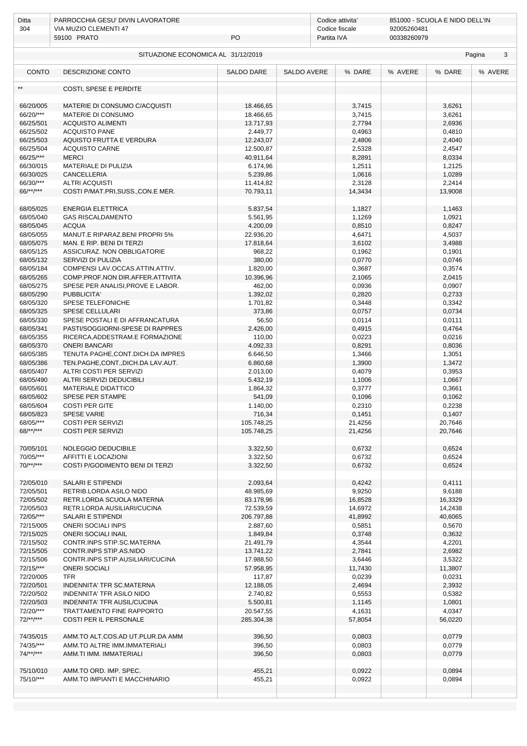| Ditta                  | PARROCCHIA GESU' DIVIN LAVORATORE                                   |                        |                    | Codice attivita'              |                            | 851000 - SCUOLA E NIDO DELL'IN |             |
|------------------------|---------------------------------------------------------------------|------------------------|--------------------|-------------------------------|----------------------------|--------------------------------|-------------|
| 304                    | VIA MUZIO CLEMENTI 47<br>59100 PRATO                                | PO                     |                    | Codice fiscale<br>Partita IVA | 92005260481<br>00338260979 |                                |             |
|                        |                                                                     |                        |                    |                               |                            |                                |             |
|                        | SITUAZIONE ECONOMICA AL 31/12/2019                                  |                        |                    |                               |                            |                                | 3<br>Pagina |
|                        |                                                                     |                        |                    |                               |                            |                                |             |
| <b>CONTO</b>           | <b>DESCRIZIONE CONTO</b>                                            | <b>SALDO DARE</b>      | <b>SALDO AVERE</b> | % DARE                        | % AVERE                    | % DARE                         | % AVERE     |
|                        | COSTI, SPESE E PERDITE                                              |                        |                    |                               |                            |                                |             |
|                        |                                                                     |                        |                    |                               |                            |                                |             |
| 66/20/005              | MATERIE DI CONSUMO C/ACQUISTI                                       | 18.466,65              |                    | 3,7415                        |                            | 3,6261                         |             |
| 66/20/***              | MATERIE DI CONSUMO                                                  | 18.466,65              |                    | 3,7415                        |                            | 3,6261                         |             |
| 66/25/501              | <b>ACQUISTO ALIMENTI</b>                                            | 13.717,93              |                    | 2,7794                        |                            | 2,6936                         |             |
| 66/25/502              | <b>ACQUISTO PANE</b>                                                | 2.449,77               |                    | 0,4963                        |                            | 0,4810                         |             |
| 66/25/503              | AQUISTO FRUTTA E VERDURA                                            | 12.243,07              |                    | 2,4806                        |                            | 2,4040                         |             |
| 66/25/504<br>66/25/*** | <b>ACQUISTO CARNE</b><br><b>MERCI</b>                               | 12.500,87<br>40.911,64 |                    | 2,5328                        |                            | 2,4547                         |             |
| 66/30/015              | MATERIALE DI PULIZIA                                                | 6.174,96               |                    | 8,2891<br>1,2511              |                            | 8,0334<br>1,2125               |             |
| 66/30/025              | CANCELLERIA                                                         | 5.239,86               |                    | 1,0616                        |                            | 1,0289                         |             |
| 66/30/***              | <b>ALTRI ACQUISTI</b>                                               | 11.414,82              |                    | 2,3128                        |                            | 2,2414                         |             |
| 66/**/***              | COSTI P/MAT.PRI, SUSS., CON.E MER.                                  | 70.793,11              |                    | 14,3434                       |                            | 13,9008                        |             |
|                        |                                                                     |                        |                    |                               |                            |                                |             |
| 68/05/025              | <b>ENERGIA ELETTRICA</b>                                            | 5.837,54               |                    | 1,1827                        |                            | 1,1463                         |             |
| 68/05/040              | <b>GAS RISCALDAMENTO</b>                                            | 5.561,95               |                    | 1,1269                        |                            | 1,0921                         |             |
| 68/05/045              | <b>ACQUA</b>                                                        | 4.200,09               |                    | 0,8510                        |                            | 0,8247                         |             |
| 68/05/055<br>68/05/075 | MANUT.E RIPARAZ.BENI PROPRI 5%<br>MAN. E RIP. BENI DI TERZI         | 22.936,20<br>17.818,64 |                    | 4,6471<br>3,6102              |                            | 4,5037<br>3,4988               |             |
| 68/05/125              | ASSICURAZ. NON OBBLIGATORIE                                         | 968,22                 |                    | 0,1962                        |                            | 0,1901                         |             |
| 68/05/132              | SERVIZI DI PULIZIA                                                  | 380,00                 |                    | 0,0770                        |                            | 0,0746                         |             |
| 68/05/184              | COMPENSI LAV.OCCAS.ATTIN.ATTIV.                                     | 1.820,00               |                    | 0,3687                        |                            | 0,3574                         |             |
| 68/05/265              | COMP.PROF.NON DIR.AFFER.ATTIVITA                                    | 10.396,96              |                    | 2,1065                        |                            | 2,0415                         |             |
| 68/05/275              | SPESE PER ANALISI, PROVE E LABOR.                                   | 462,00                 |                    | 0,0936                        |                            | 0,0907                         |             |
| 68/05/290              | PUBBLICITA'                                                         | 1.392,02               |                    | 0,2820                        |                            | 0,2733                         |             |
| 68/05/320              | SPESE TELEFONICHE                                                   | 1.701,82               |                    | 0,3448                        |                            | 0,3342                         |             |
| 68/05/325              | SPESE CELLULARI                                                     | 373,86                 |                    | 0,0757                        |                            | 0,0734                         |             |
| 68/05/330<br>68/05/341 | SPESE POSTALI E DI AFFRANCATURA<br>PASTI/SOGGIORNI-SPESE DI RAPPRES | 56,50<br>2.426,00      |                    | 0,0114<br>0,4915              |                            | 0,0111<br>0,4764               |             |
| 68/05/355              | RICERCA, ADDESTRAM.E FORMAZIONE                                     | 110,00                 |                    | 0,0223                        |                            | 0,0216                         |             |
| 68/05/370              | <b>ONERI BANCARI</b>                                                | 4.092,33               |                    | 0,8291                        |                            | 0,8036                         |             |
| 68/05/385              | TENUTA PAGHE, CONT. DICH. DA IMPRES                                 | 6.646,50               |                    | 1,3466                        |                            | 1,3051                         |             |
| 68/05/386              | TEN.PAGHE,CONT.,DICH.DA LAV.AUT.                                    | 6.860,68               |                    | 1,3900                        |                            | 1,3472                         |             |
| 68/05/407              | ALTRI COSTI PER SERVIZI                                             | 2.013,00               |                    | 0,4079                        |                            | 0,3953                         |             |
| 68/05/490              | ALTRI SERVIZI DEDUCIBILI                                            | 5.432,19               |                    | 1,1006                        |                            | 1,0667                         |             |
| 68/05/601              | MATERIALE DIDATTICO                                                 | 1.864,32               |                    | 0,3777                        |                            | 0,3661                         |             |
| 68/05/602              | SPESE PER STAMPE                                                    | 541,09                 |                    | 0,1096                        |                            | 0,1062                         |             |
| 68/05/604<br>68/05/823 | <b>COSTI PER GITE</b><br><b>SPESE VARIE</b>                         | 1.140,00<br>716,34     |                    | 0,2310<br>0,1451              |                            | 0,2238<br>0,1407               |             |
| 68/05/***              | <b>COSTI PER SERVIZI</b>                                            | 105.748,25             |                    | 21,4256                       |                            | 20,7646                        |             |
| 68/**/***              | <b>COSTI PER SERVIZI</b>                                            | 105.748,25             |                    | 21,4256                       |                            | 20,7646                        |             |
|                        |                                                                     |                        |                    |                               |                            |                                |             |
| 70/05/101              | NOLEGGIO DEDUCIBILE                                                 | 3.322,50               |                    | 0,6732                        |                            | 0,6524                         |             |
| 70/05/***              | AFFITTI E LOCAZIONI                                                 | 3.322,50               |                    | 0,6732                        |                            | 0,6524                         |             |
| $70$ /**/***           | COSTI P/GODIMENTO BENI DI TERZI                                     | 3.322,50               |                    | 0,6732                        |                            | 0,6524                         |             |
|                        |                                                                     |                        |                    |                               |                            |                                |             |
| 72/05/010<br>72/05/501 | SALARI E STIPENDI<br>RETRIB.LORDA ASILO NIDO                        | 2.093,64<br>48.985,69  |                    | 0,4242<br>9,9250              |                            | 0,4111<br>9,6188               |             |
| 72/05/502              | RETR.LORDA SCUOLA MATERNA                                           | 83.178,96              |                    | 16,8528                       |                            | 16,3329                        |             |
| 72/05/503              | RETR.LORDA AUSILIARI/CUCINA                                         | 72.539,59              |                    | 14,6972                       |                            | 14,2438                        |             |
| 72/05/***              | SALARI E STIPENDI                                                   | 206.797,88             |                    | 41,8992                       |                            | 40,6065                        |             |
| 72/15/005              | <b>ONERI SOCIALI INPS</b>                                           | 2.887,60               |                    | 0,5851                        |                            | 0,5670                         |             |
| 72/15/025              | <b>ONERI SOCIALI INAIL</b>                                          | 1.849,84               |                    | 0,3748                        |                            | 0,3632                         |             |
| 72/15/502              | CONTR.INPS STIP.SC.MATERNA                                          | 21.491,79              |                    | 4,3544                        |                            | 4,2201                         |             |
| 72/15/505              | CONTR.INPS STIP.AS.NIDO                                             | 13.741,22              |                    | 2,7841                        |                            | 2,6982                         |             |
| 72/15/506<br>72/15/*** | CONTR.INPS STIP.AUSILIARI/CUCINA                                    | 17.988,50              |                    | 3,6446                        |                            | 3,5322                         |             |
| 72/20/005              | <b>ONERI SOCIALI</b><br>TFR                                         | 57.958,95<br>117,87    |                    | 11,7430<br>0,0239             |                            | 11,3807<br>0,0231              |             |
| 72/20/501              | INDENNITA' TFR SC.MATERNA                                           | 12.188,05              |                    | 2,4694                        |                            | 2,3932                         |             |
| 72/20/502              | INDENNITA' TFR ASILO NIDO                                           | 2.740,82               |                    | 0,5553                        |                            | 0,5382                         |             |
| 72/20/503              | INDENNITA' TFR AUSIL/CUCINA                                         | 5.500,81               |                    | 1,1145                        |                            | 1,0801                         |             |
| 72/20/***              | TRATTAMENTO FINE RAPPORTO                                           | 20.547,55              |                    | 4,1631                        |                            | 4,0347                         |             |
| $72$ /**/***           | COSTI PER IL PERSONALE                                              | 285.304,38             |                    | 57,8054                       |                            | 56,0220                        |             |
|                        |                                                                     |                        |                    |                               |                            |                                |             |
| 74/35/015              | AMM.TO ALT.COS.AD UT.PLUR.DA AMM                                    | 396,50                 |                    | 0,0803                        |                            | 0,0779                         |             |
| 74/35/***              | AMM.TO ALTRE IMM.IMMATERIALI                                        | 396,50                 |                    | 0,0803                        |                            | 0,0779                         |             |
| $74$ /**/***           | AMM.TI IMM. IMMATERIALI                                             | 396,50                 |                    | 0,0803                        |                            | 0,0779                         |             |
| 75/10/010              | AMM.TO ORD. IMP. SPEC.                                              | 455,21                 |                    | 0,0922                        |                            | 0,0894                         |             |
| 75/10/***              | AMM.TO IMPIANTI E MACCHINARIO                                       | 455,21                 |                    | 0,0922                        |                            | 0,0894                         |             |
|                        |                                                                     |                        |                    |                               |                            |                                |             |
|                        |                                                                     |                        |                    |                               |                            |                                |             |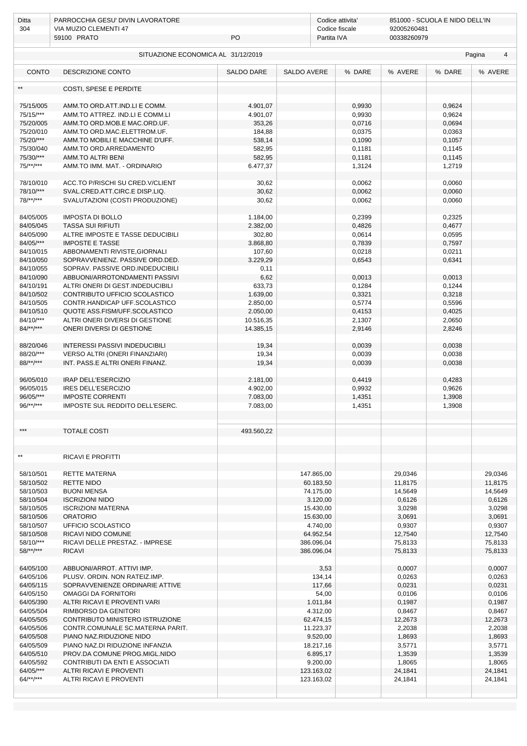| Ditta                     | PARROCCHIA GESU' DIVIN LAVORATORE                                 |                      |                    | Codice attivita' |             | 851000 - SCUOLA E NIDO DELL'IN |                          |
|---------------------------|-------------------------------------------------------------------|----------------------|--------------------|------------------|-------------|--------------------------------|--------------------------|
| 304                       | VIA MUZIO CLEMENTI 47                                             |                      |                    | Codice fiscale   | 92005260481 |                                |                          |
|                           | 59100 PRATO                                                       | PO                   |                    | Partita IVA      | 00338260979 |                                |                          |
|                           | SITUAZIONE ECONOMICA AL 31/12/2019                                |                      |                    |                  |             |                                | Pagina<br>$\overline{4}$ |
| <b>CONTO</b>              | DESCRIZIONE CONTO                                                 | <b>SALDO DARE</b>    | <b>SALDO AVERE</b> | % DARE           | % AVERE     | % DARE                         | % AVERE                  |
|                           | COSTI, SPESE E PERDITE                                            |                      |                    |                  |             |                                |                          |
| 75/15/005                 | AMM.TO ORD.ATT.IND.LI E COMM.                                     | 4.901,07             |                    | 0,9930           |             | 0,9624                         |                          |
| 75/15/***                 | AMM.TO ATTREZ. IND.LI E COMM.LI                                   | 4.901,07             |                    | 0,9930           |             | 0,9624                         |                          |
| 75/20/005                 | AMM.TO ORD.MOB.E MAC.ORD.UF.                                      | 353,26               |                    | 0,0716           |             | 0,0694                         |                          |
| 75/20/010                 | AMM.TO ORD.MAC.ELETTROM.UF.                                       | 184,88               |                    | 0,0375           |             | 0,0363                         |                          |
| 75/20/***                 | AMM.TO MOBILI E MACCHINE D'UFF.                                   | 538,14               |                    | 0,1090           |             | 0,1057                         |                          |
| 75/30/040                 | AMM.TO ORD.ARREDAMENTO                                            | 582,95               |                    | 0,1181           |             | 0,1145                         |                          |
| 75/30/***                 | AMM.TO ALTRI BENI                                                 | 582,95               |                    | 0,1181           |             | 0,1145                         |                          |
| 75/**/***                 | AMM.TO IMM. MAT. - ORDINARIO                                      | 6.477,37             |                    | 1,3124           |             | 1,2719                         |                          |
|                           |                                                                   |                      |                    |                  |             |                                |                          |
| 78/10/010                 | ACC.TO P/RISCHI SU CRED.V/CLIENT                                  | 30,62                |                    | 0,0062           |             | 0,0060                         |                          |
| 78/10/***<br>$78$ /**/*** | SVAL.CRED.ATT.CIRC.E DISP.LIQ.<br>SVALUTAZIONI (COSTI PRODUZIONE) | 30,62<br>30,62       |                    | 0,0062<br>0,0062 |             | 0,0060                         |                          |
|                           |                                                                   |                      |                    |                  |             | 0,0060                         |                          |
| 84/05/005                 | <b>IMPOSTA DI BOLLO</b>                                           | 1.184,00             |                    | 0,2399           |             | 0,2325                         |                          |
| 84/05/045                 | <b>TASSA SUI RIFIUTI</b>                                          | 2.382,00             |                    | 0,4826           |             | 0,4677                         |                          |
| 84/05/090                 | ALTRE IMPOSTE E TASSE DEDUCIBILI                                  | 302,80               |                    | 0,0614           |             | 0,0595                         |                          |
| 84/05/***                 | <b>IMPOSTE E TASSE</b>                                            | 3.868,80             |                    | 0,7839           |             | 0,7597                         |                          |
| 84/10/015                 | ABBONAMENTI RIVISTE, GIORNALI                                     | 107,60               |                    | 0,0218           |             | 0,0211                         |                          |
| 84/10/050                 | SOPRAVVENIENZ. PASSIVE ORD.DED.                                   | 3.229,29             |                    | 0,6543           |             | 0,6341                         |                          |
| 84/10/055                 | SOPRAV. PASSIVE ORD.INDEDUCIBILI                                  | 0,11                 |                    |                  |             |                                |                          |
| 84/10/090                 | ABBUONI/ARROTONDAMENTI PASSIVI                                    | 6,62                 |                    | 0,0013           |             | 0,0013                         |                          |
| 84/10/191                 | ALTRI ONERI DI GEST.INDEDUCIBILI                                  | 633,73               |                    | 0,1284           |             | 0,1244                         |                          |
| 84/10/502                 | CONTRIBUTO UFFICIO SCOLASTICO                                     | 1.639,00             |                    | 0,3321           |             | 0,3218                         |                          |
| 84/10/505                 | CONTR.HANDICAP UFF.SCOLASTICO                                     | 2.850,00             |                    | 0,5774           |             | 0,5596                         |                          |
| 84/10/510                 | QUOTE ASS.FISM/UFF.SCOLASTICO                                     | 2.050,00             |                    | 0,4153           |             | 0,4025                         |                          |
| 84/10/***                 | ALTRI ONERI DIVERSI DI GESTIONE                                   | 10.516,35            |                    | 2,1307           |             | 2,0650                         |                          |
| $84/**/***$               | ONERI DIVERSI DI GESTIONE                                         | 14.385,15            |                    | 2,9146           |             | 2,8246                         |                          |
|                           |                                                                   |                      |                    |                  |             |                                |                          |
| 88/20/046                 | <b>INTERESSI PASSIVI INDEDUCIBILI</b>                             | 19,34                |                    | 0,0039           |             | 0,0038                         |                          |
| 88/20/***                 | VERSO ALTRI (ONERI FINANZIARI)                                    | 19,34                |                    | 0,0039           |             | 0,0038                         |                          |
| 88/**/***                 | INT. PASS.E ALTRI ONERI FINANZ.                                   | 19,34                |                    | 0,0039           |             | 0,0038                         |                          |
|                           |                                                                   | 2.181,00             |                    |                  |             |                                |                          |
| 96/05/010                 | IRAP DELL'ESERCIZIO                                               |                      |                    | 0,4419           |             | 0,4283                         |                          |
| 96/05/015<br>96/05/***    | IRES DELL'ESERCIZIO                                               | 4.902,00             |                    | 0,9932           |             | 0,9626                         |                          |
| $96$ /**/***              | <b>IMPOSTE CORRENTI</b><br>IMPOSTE SUL REDDITO DELL'ESERC.        | 7.083,00<br>7.083,00 |                    | 1,4351           |             | 1,3908                         |                          |
|                           |                                                                   |                      |                    | 1,4351           |             | 1,3908                         |                          |
| ***                       | <b>TOTALE COSTI</b>                                               | 493.560,22           |                    |                  |             |                                |                          |
|                           |                                                                   |                      |                    |                  |             |                                |                          |
|                           |                                                                   |                      |                    |                  |             |                                |                          |
| $\star\star$              | RICAVI E PROFITTI                                                 |                      |                    |                  |             |                                |                          |
| 58/10/501                 | RETTE MATERNA                                                     |                      | 147.865,00         |                  | 29,0346     |                                | 29,0346                  |
| 58/10/502                 | <b>RETTE NIDO</b>                                                 |                      | 60.183,50          |                  | 11,8175     |                                | 11,8175                  |
| 58/10/503                 | <b>BUONI MENSA</b>                                                |                      | 74.175,00          |                  | 14,5649     |                                | 14,5649                  |
| 58/10/504                 | <b>ISCRIZIONI NIDO</b>                                            |                      | 3.120,00           |                  | 0,6126      |                                | 0,6126                   |
| 58/10/505                 | <b>ISCRIZIONI MATERNA</b>                                         |                      | 15.430,00          |                  | 3,0298      |                                | 3,0298                   |
| 58/10/506                 | <b>ORATORIO</b>                                                   |                      | 15.630,00          |                  | 3,0691      |                                | 3,0691                   |
| 58/10/507                 | UFFICIO SCOLASTICO                                                |                      | 4.740.00           |                  | 0,9307      |                                | 0,9307                   |
| 58/10/508                 | RICAVI NIDO COMUNE                                                |                      | 64.952,54          |                  | 12,7540     |                                | 12,7540                  |
| 58/10/***                 | RICAVI DELLE PRESTAZ. - IMPRESE                                   |                      | 386.096,04         |                  | 75,8133     |                                | 75,8133                  |
| $58$ /**/***              | <b>RICAVI</b>                                                     |                      | 386.096,04         |                  | 75,8133     |                                | 75,8133                  |
|                           |                                                                   |                      |                    |                  |             |                                |                          |
| 64/05/100                 | ABBUONI/ARROT. ATTIVI IMP.                                        |                      | 3,53               |                  | 0,0007      |                                | 0,0007                   |
| 64/05/106                 | PLUSV. ORDIN. NON RATEIZ.IMP.                                     |                      | 134,14             |                  | 0,0263      |                                | 0,0263                   |
| 64/05/115                 | SOPRAVVENIENZE ORDINARIE ATTIVE                                   |                      | 117,66             |                  | 0,0231      |                                | 0,0231                   |
| 64/05/150                 | OMAGGI DA FORNITORI                                               |                      | 54,00              |                  | 0,0106      |                                | 0,0106                   |
| 64/05/390                 | ALTRI RICAVI E PROVENTI VARI                                      |                      | 1.011,84           |                  | 0,1987      |                                | 0,1987                   |
| 64/05/504                 | RIMBORSO DA GENITORI                                              |                      | 4.312,00           |                  | 0,8467      |                                | 0,8467                   |
| 64/05/505                 | CONTRIBUTO MINISTERO ISTRUZIONE                                   |                      | 62.474,15          |                  | 12,2673     |                                | 12,2673                  |
| 64/05/506                 | CONTR.COMUNALE SC.MATERNA PARIT.                                  |                      | 11.223,37          |                  | 2,2038      |                                | 2,2038                   |
| 64/05/508                 | PIANO NAZ.RIDUZIONE NIDO                                          |                      | 9.520,00           |                  | 1,8693      |                                | 1,8693                   |
| 64/05/509                 | PIANO NAZ.DI RIDUZIONE INFANZIA                                   |                      | 18.217,16          |                  | 3,5771      |                                | 3,5771                   |
| 64/05/510                 | PROV.DA COMUNE PROG.MIGL.NIDO                                     |                      | 6.895,17           |                  | 1,3539      |                                | 1,3539                   |
| 64/05/592                 | CONTRIBUTI DA ENTI E ASSOCIATI                                    |                      | 9.200,00           |                  | 1,8065      |                                | 1,8065                   |
| 64/05/***                 | ALTRI RICAVI E PROVENTI                                           |                      | 123.163,02         |                  | 24,1841     |                                | 24,1841                  |
| $64$ /**/***              | ALTRI RICAVI E PROVENTI                                           |                      | 123.163,02         |                  | 24,1841     |                                | 24,1841                  |
|                           |                                                                   |                      |                    |                  |             |                                |                          |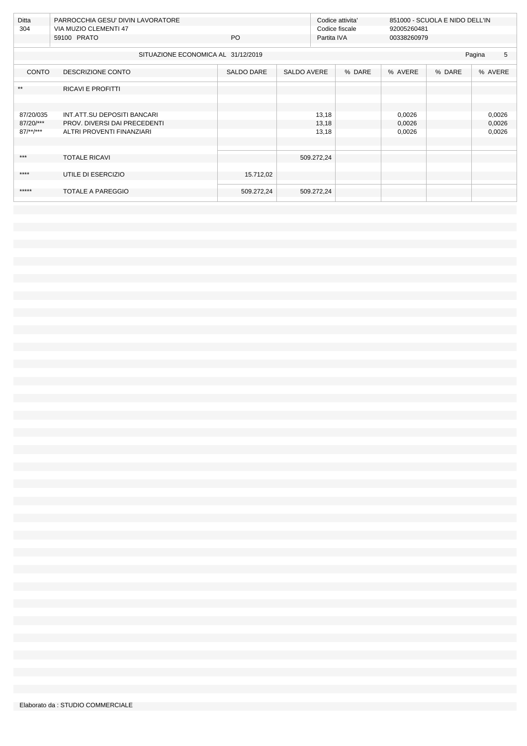| Ditta<br>PARROCCHIA GESU' DIVIN LAVORATORE<br>304 |                                                                                                                         |                                                                      | Codice attivita' |                                                | 851000 - SCUOLA E NIDO DELL'IN |        |                            |
|---------------------------------------------------|-------------------------------------------------------------------------------------------------------------------------|----------------------------------------------------------------------|------------------|------------------------------------------------|--------------------------------|--------|----------------------------|
|                                                   |                                                                                                                         |                                                                      |                  |                                                |                                |        |                            |
|                                                   |                                                                                                                         |                                                                      |                  |                                                |                                |        |                            |
|                                                   |                                                                                                                         |                                                                      |                  |                                                |                                |        | 5<br>Pagina                |
| DESCRIZIONE CONTO                                 | <b>SALDO DARE</b>                                                                                                       |                                                                      |                  | % DARE                                         | % AVERE                        | % DARE | % AVERE                    |
| <b>RICAVI E PROFITTI</b>                          |                                                                                                                         |                                                                      |                  |                                                |                                |        |                            |
|                                                   |                                                                                                                         |                                                                      |                  |                                                |                                |        |                            |
| INT.ATT.SU DEPOSITI BANCARI                       |                                                                                                                         |                                                                      | 13,18            |                                                | 0,0026                         |        | 0,0026                     |
| PROV. DIVERSI DAI PRECEDENTI                      |                                                                                                                         |                                                                      | 13,18            |                                                | 0,0026                         |        | 0,0026                     |
| ALTRI PROVENTI FINANZIARI                         |                                                                                                                         |                                                                      | 13,18            |                                                | 0,0026                         |        | 0,0026                     |
|                                                   |                                                                                                                         |                                                                      |                  |                                                |                                |        |                            |
|                                                   |                                                                                                                         |                                                                      |                  |                                                |                                |        |                            |
|                                                   |                                                                                                                         |                                                                      |                  |                                                |                                |        |                            |
|                                                   |                                                                                                                         |                                                                      |                  |                                                |                                |        |                            |
|                                                   |                                                                                                                         |                                                                      |                  |                                                |                                |        |                            |
|                                                   |                                                                                                                         |                                                                      |                  |                                                |                                |        |                            |
|                                                   |                                                                                                                         |                                                                      |                  |                                                |                                |        |                            |
| 87/20/035                                         | VIA MUZIO CLEMENTI 47<br>59100 PRATO<br><b>CONTO</b><br><b>TOTALE RICAVI</b><br>UTILE DI ESERCIZIO<br>TOTALE A PAREGGIO | PO.<br>SITUAZIONE ECONOMICA AL 31/12/2019<br>15.712,02<br>509.272,24 |                  | <b>SALDO AVERE</b><br>509.272,24<br>509.272,24 | Codice fiscale<br>Partita IVA  |        | 92005260481<br>00338260979 |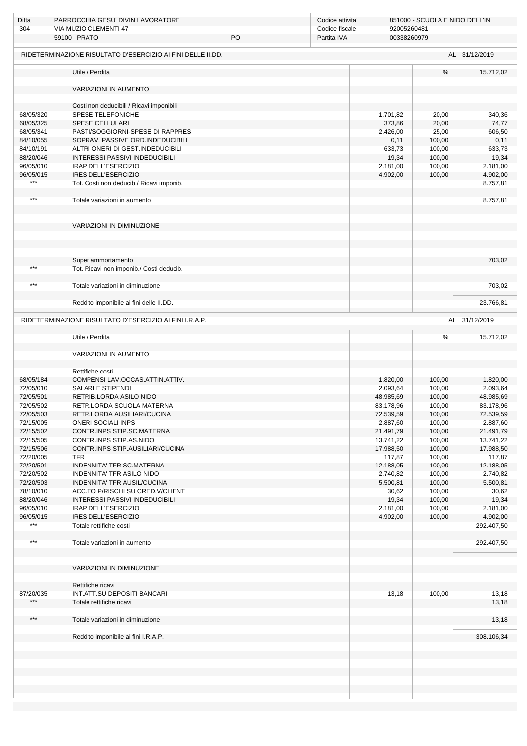| Ditta<br>304           | PARROCCHIA GESU' DIVIN LAVORATORE<br>VIA MUZIO CLEMENTI 47<br>59100 PRATO | PO | Codice attivita'<br>Codice fiscale<br>Partita IVA | 92005260481<br>00338260979 | 851000 - SCUOLA E NIDO DELL'IN |                        |
|------------------------|---------------------------------------------------------------------------|----|---------------------------------------------------|----------------------------|--------------------------------|------------------------|
|                        | RIDETERMINAZIONE RISULTATO D'ESERCIZIO AI FINI DELLE II.DD.               |    |                                                   |                            |                                | AL 31/12/2019          |
|                        | Utile / Perdita                                                           |    |                                                   |                            | $\frac{0}{0}$                  | 15.712,02              |
|                        | <b>VARIAZIONI IN AUMENTO</b>                                              |    |                                                   |                            |                                |                        |
|                        | Costi non deducibili / Ricavi imponibili                                  |    |                                                   |                            |                                |                        |
| 68/05/320<br>68/05/325 | SPESE TELEFONICHE<br><b>SPESE CELLULARI</b>                               |    |                                                   | 1.701,82<br>373,86         | 20,00<br>20,00                 | 340,36<br>74,77        |
| 68/05/341              | PASTI/SOGGIORNI-SPESE DI RAPPRES                                          |    |                                                   | 2.426,00                   | 25,00                          | 606,50                 |
| 84/10/055<br>84/10/191 | SOPRAV. PASSIVE ORD.INDEDUCIBILI<br>ALTRI ONERI DI GEST.INDEDUCIBILI      |    |                                                   | 0,11<br>633,73             | 100,00<br>100,00               | 0,11<br>633,73         |
| 88/20/046              | <b>INTERESSI PASSIVI INDEDUCIBILI</b>                                     |    |                                                   | 19,34                      | 100,00                         | 19,34                  |
| 96/05/010              | IRAP DELL'ESERCIZIO                                                       |    |                                                   | 2.181,00                   | 100,00                         | 2.181,00               |
| 96/05/015              | <b>IRES DELL'ESERCIZIO</b>                                                |    |                                                   | 4.902,00                   | 100,00                         | 4.902,00               |
| $***$                  | Tot. Costi non deducib./ Ricavi imponib.                                  |    |                                                   |                            |                                | 8.757,81               |
| $***$                  | Totale variazioni in aumento                                              |    |                                                   |                            |                                | 8.757,81               |
|                        | VARIAZIONI IN DIMINUZIONE                                                 |    |                                                   |                            |                                |                        |
|                        |                                                                           |    |                                                   |                            |                                |                        |
|                        |                                                                           |    |                                                   |                            |                                |                        |
|                        | Super ammortamento                                                        |    |                                                   |                            |                                | 703,02                 |
| ***                    | Tot. Ricavi non imponib./ Costi deducib.                                  |    |                                                   |                            |                                |                        |
| $***$                  | Totale variazioni in diminuzione                                          |    |                                                   |                            |                                | 703,02                 |
|                        | Reddito imponibile ai fini delle II.DD.                                   |    |                                                   |                            |                                | 23.766,81              |
|                        | RIDETERMINAZIONE RISULTATO D'ESERCIZIO AI FINI I.R.A.P.                   |    |                                                   |                            |                                | AL 31/12/2019          |
|                        | Utile / Perdita                                                           |    |                                                   |                            | $\%$                           | 15.712,02              |
|                        |                                                                           |    |                                                   |                            |                                |                        |
|                        | VARIAZIONI IN AUMENTO                                                     |    |                                                   |                            |                                |                        |
|                        | Rettifiche costi                                                          |    |                                                   |                            |                                |                        |
| 68/05/184              | COMPENSI LAV.OCCAS.ATTIN.ATTIV.                                           |    |                                                   | 1.820,00                   | 100,00                         | 1.820,00               |
| 72/05/010<br>72/05/501 | <b>SALARI E STIPENDI</b><br>RETRIB.LORDA ASILO NIDO                       |    |                                                   | 2.093,64<br>48.985,69      | 100,00<br>100,00               | 2.093,64<br>48.985,69  |
| 72/05/502              | RETR.LORDA SCUOLA MATERNA                                                 |    |                                                   | 83.178,96                  | 100,00                         | 83.178,96              |
| 72/05/503              | RETR.LORDA AUSILIARI/CUCINA                                               |    |                                                   | 72.539,59                  | 100,00                         | 72.539,59              |
| 72/15/005              | <b>ONERI SOCIALI INPS</b>                                                 |    |                                                   | 2.887,60                   | 100,00                         | 2.887,60               |
| 72/15/502              | CONTR.INPS STIP.SC.MATERNA                                                |    |                                                   | 21.491,79                  | 100,00                         | 21.491,79              |
| 72/15/505<br>72/15/506 | CONTR.INPS STIP.AS.NIDO<br>CONTR.INPS STIP.AUSILIARI/CUCINA               |    |                                                   | 13.741,22<br>17.988,50     | 100,00<br>100,00               | 13.741,22<br>17.988,50 |
| 72/20/005              | <b>TFR</b>                                                                |    |                                                   | 117,87                     | 100,00                         | 117,87                 |
| 72/20/501              | INDENNITA' TFR SC.MATERNA                                                 |    |                                                   | 12.188,05                  | 100,00                         | 12.188,05              |
| 72/20/502              | INDENNITA' TFR ASILO NIDO                                                 |    |                                                   | 2.740,82                   | 100,00                         | 2.740,82               |
| 72/20/503              | INDENNITA' TFR AUSIL/CUCINA                                               |    |                                                   | 5.500,81                   | 100,00                         | 5.500,81               |
| 78/10/010              | ACC.TO P/RISCHI SU CRED.V/CLIENT                                          |    |                                                   | 30,62                      | 100,00                         | 30,62                  |
| 88/20/046<br>96/05/010 | <b>INTERESSI PASSIVI INDEDUCIBILI</b><br>IRAP DELL'ESERCIZIO              |    |                                                   | 19,34<br>2.181,00          | 100,00<br>100,00               | 19,34<br>2.181,00      |
| 96/05/015              | IRES DELL'ESERCIZIO                                                       |    |                                                   | 4.902,00                   | 100,00                         | 4.902,00               |
| $***$                  | Totale rettifiche costi                                                   |    |                                                   |                            |                                | 292.407,50             |
| $***$                  | Totale variazioni in aumento                                              |    |                                                   |                            |                                | 292.407,50             |
|                        |                                                                           |    |                                                   |                            |                                |                        |
|                        | VARIAZIONI IN DIMINUZIONE                                                 |    |                                                   |                            |                                |                        |
|                        | Rettifiche ricavi                                                         |    |                                                   |                            |                                |                        |
| 87/20/035              | INT.ATT.SU DEPOSITI BANCARI                                               |    |                                                   | 13,18                      | 100,00                         | 13,18                  |
| $***$                  | Totale rettifiche ricavi                                                  |    |                                                   |                            |                                | 13,18                  |
| $***$                  | Totale variazioni in diminuzione                                          |    |                                                   |                            |                                | 13,18                  |
|                        | Reddito imponibile ai fini I.R.A.P.                                       |    |                                                   |                            |                                | 308.106,34             |
|                        |                                                                           |    |                                                   |                            |                                |                        |
|                        |                                                                           |    |                                                   |                            |                                |                        |
|                        |                                                                           |    |                                                   |                            |                                |                        |
|                        |                                                                           |    |                                                   |                            |                                |                        |
|                        |                                                                           |    |                                                   |                            |                                |                        |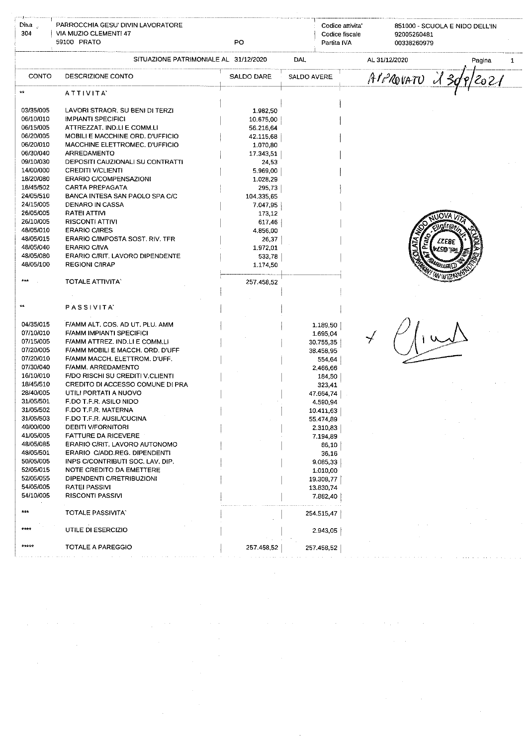| Dita <sub>u</sub><br>304                                                                                                                                                                                                                                                               | PARROCCHIA GESU' DIVIN LAVORATORE<br>VIA MUZIO CLEMENTI 47<br>59100 PRATO                                                                                                                                                                                                                                                                                                                                                                                                                                                                                                                                                                                                     | PO                                                                                                                                                                                                                       |             | Codice attivita<br>Codice fiscale<br>Partita IVA                                                                                                                                                                                                                  | 851000 - SCUOLA E NIDO DELL'IN<br>92005260481<br>00338260979 |        |              |
|----------------------------------------------------------------------------------------------------------------------------------------------------------------------------------------------------------------------------------------------------------------------------------------|-------------------------------------------------------------------------------------------------------------------------------------------------------------------------------------------------------------------------------------------------------------------------------------------------------------------------------------------------------------------------------------------------------------------------------------------------------------------------------------------------------------------------------------------------------------------------------------------------------------------------------------------------------------------------------|--------------------------------------------------------------------------------------------------------------------------------------------------------------------------------------------------------------------------|-------------|-------------------------------------------------------------------------------------------------------------------------------------------------------------------------------------------------------------------------------------------------------------------|--------------------------------------------------------------|--------|--------------|
|                                                                                                                                                                                                                                                                                        | SITUAZIONE PATRIMONIALE AL 31/12/2020                                                                                                                                                                                                                                                                                                                                                                                                                                                                                                                                                                                                                                         |                                                                                                                                                                                                                          | DAL         |                                                                                                                                                                                                                                                                   | AL 31/12/2020                                                | Pagina | $\mathbf{1}$ |
| CONTO                                                                                                                                                                                                                                                                                  | DESCRIZIONE CONTO                                                                                                                                                                                                                                                                                                                                                                                                                                                                                                                                                                                                                                                             | <b>SALDO DARE</b>                                                                                                                                                                                                        | SALDO AVERE |                                                                                                                                                                                                                                                                   | APPROVATU<br>130                                             | 202/   |              |
|                                                                                                                                                                                                                                                                                        | ATTIVITA                                                                                                                                                                                                                                                                                                                                                                                                                                                                                                                                                                                                                                                                      |                                                                                                                                                                                                                          |             |                                                                                                                                                                                                                                                                   |                                                              |        |              |
| 03/35/005<br>06/10/010<br>06/15/005<br>06/20/005<br>06/20/010<br>06/30/040<br>09/10/030<br>14/00/000<br>18/20/080<br>18/45/502<br>24/05/510<br>24/15/005<br>26/05/005<br>26/10/005<br>48/05/010<br>48/05/015<br>48/05/040<br>48/05/080<br>48/05/100                                    | LAVORI STRAOR. SU BENI DI TERZI<br><b>IMPIANTI SPECIFICI</b><br>ATTREZZAT. IND.LI E COMM.LI<br>MOBILI E MACCHINE ORD. D'UFFICIO<br>MACCHINE ELETTROMEC, D'UFFICIO<br>ARREDAMENTO<br>DEPOSITI CAUZIONALI SU CONTRATTI<br><b>CREDITI V/CLIENTI</b><br><b>ERARIO C/COMPENSAZIONI</b><br><b>CARTA PREPAGATA</b><br>BANCA INTESA SAN PAOLO SPA C/C<br>DENARO IN CASSA<br>RATEI ATTIVI<br><b>RISCONTI ATTIVI</b><br><b>ERARIO C/IRES</b><br>ERARIO C/IMPOSTA SOST, RIV. TFR<br><b>ERARIO C/IVA</b><br>ERARIO C/RIT. LAVORO DIPENDENTE<br><b>REGIONI C/IRAP</b>                                                                                                                      | 1.982,50<br>10.675,00<br>56.216,64<br>42.115,68<br>1.070,80<br>17.343,51<br>24,53<br>5.969,00<br>1.028,29<br>295,73<br>104.335,65<br>7.047,95<br>173,12<br>617,46<br>4.856,00<br>26,37<br>1.972.01<br>533,78<br>1.174,50 |             |                                                                                                                                                                                                                                                                   | <b>\UVA</b><br><b>SS327</b><br>È<br><b>VLSD TENI</b>         |        |              |
| $\star\star$                                                                                                                                                                                                                                                                           | <b>TOTALE ATTIVITA</b><br>PASSIVITA'                                                                                                                                                                                                                                                                                                                                                                                                                                                                                                                                                                                                                                          | 257.458,52                                                                                                                                                                                                               |             |                                                                                                                                                                                                                                                                   | M HVZ                                                        |        |              |
| 04/35/015<br>07/10/010<br>07/15/005<br>07/20/005<br>07/20/010<br>07/30/040<br>16/10/010<br>18/45/510<br>28/40/005<br>31/05/501<br>31/05/502<br>31/05/503<br>40/00/000<br>41/05/005<br>48/05/085<br>48/05/501<br>50/05/005<br>52/05/015<br>52/05/055<br>54/05/005<br>54/10/005<br>$***$ | F/AMM ALT, COS, AD UT, PLU, AMM<br><b>F/AMM IMPIANTI SPECIFICI</b><br>F/AMM ATTREZ. IND.LI E COMM.LI<br>F/AMM MOBILI E MACCH. ORD. D'UFF<br>F/AMM MACCH. ELETTROM. D'UFF.<br>F/AMM. ARREDAMENTO<br>F/DO RISCHI SU CREDITI V CLIENTI<br>CREDITO DI ACCESSO COMUNE DI PRA<br>UTILI PORTATI A NUOVO<br>F.DO T.F.R. ASILO NIDO<br>F.DO T.F.R. MATERNA<br>F.DO T.F.R. AUSIL/CUCINA<br><b>DEBITI V/FORNITORI</b><br><b>FATTURE DA RICEVERE</b><br>ERARIO C/RIT. LAVORO AUTONOMO<br>ERARIO C/ADD.REG. DIPENDENTI<br>INPS C/CONTRIBUTI SOC. LAV. DIP.<br>NOTE CREDITO DA EMETTERE<br>DIPENDENTI C/RETRIBUZIONI<br><b>RATEI PASSIVI</b><br><b>RISCONTI PASSIVI</b><br>TOTALE PASSIVITA |                                                                                                                                                                                                                          |             | 1.189.50<br>1.695 04<br>30.755.35<br>38.458,95<br>554,64<br>2,466,66<br>184,50<br>323,41<br>47.664,74<br>4.590,94<br>10.411,63<br>55.474.89<br>2.310,83<br>7.194,89<br>86,10<br>36,16<br>9.085,33<br>1.010,00<br>19.308,77<br>13.830,74<br>7.882,40<br>254.515.47 |                                                              |        |              |
| ****                                                                                                                                                                                                                                                                                   | UTILE DI ESERCIZIO                                                                                                                                                                                                                                                                                                                                                                                                                                                                                                                                                                                                                                                            |                                                                                                                                                                                                                          |             | 2.943.05                                                                                                                                                                                                                                                          |                                                              |        |              |
| *****                                                                                                                                                                                                                                                                                  | TOTALE A PAREGGIO                                                                                                                                                                                                                                                                                                                                                                                                                                                                                                                                                                                                                                                             | 257.458,52                                                                                                                                                                                                               |             | 257.458,52                                                                                                                                                                                                                                                        |                                                              |        |              |

 $\label{eq:2.1} \frac{1}{\sqrt{2}}\int_{\mathbb{R}^3}\frac{1}{\sqrt{2}}\left(\frac{1}{\sqrt{2}}\right)^2\frac{1}{\sqrt{2}}\left(\frac{1}{\sqrt{2}}\right)^2\frac{1}{\sqrt{2}}\left(\frac{1}{\sqrt{2}}\right)^2\frac{1}{\sqrt{2}}\left(\frac{1}{\sqrt{2}}\right)^2\frac{1}{\sqrt{2}}\left(\frac{1}{\sqrt{2}}\right)^2\frac{1}{\sqrt{2}}\frac{1}{\sqrt{2}}\frac{1}{\sqrt{2}}\frac{1}{\sqrt{2}}\frac{1}{\sqrt{2}}\frac{1}{\sqrt{2}}$ 

 $\label{eq:2.1} \frac{1}{\sqrt{2}}\left(\frac{1}{\sqrt{2}}\right)^{2} \left(\frac{1}{\sqrt{2}}\right)^{2} \left(\frac{1}{\sqrt{2}}\right)^{2} \left(\frac{1}{\sqrt{2}}\right)^{2} \left(\frac{1}{\sqrt{2}}\right)^{2} \left(\frac{1}{\sqrt{2}}\right)^{2} \left(\frac{1}{\sqrt{2}}\right)^{2} \left(\frac{1}{\sqrt{2}}\right)^{2} \left(\frac{1}{\sqrt{2}}\right)^{2} \left(\frac{1}{\sqrt{2}}\right)^{2} \left(\frac{1}{\sqrt{2}}\right)^{2} \left(\$ 

 $\label{eq:2.1} \mathcal{L}(\mathcal{L}^{\text{max}}_{\mathcal{L}}(\mathcal{L}^{\text{max}}_{\mathcal{L}}),\mathcal{L}^{\text{max}}_{\mathcal{L}}(\mathcal{L}^{\text{max}}_{\mathcal{L}}))$ 

 $\mathcal{L}^{\mathcal{L}}(\mathcal{L}^{\mathcal{L}}(\mathcal{L}^{\mathcal{L}}(\mathcal{L}^{\mathcal{L}}(\mathcal{L}^{\mathcal{L}}(\mathcal{L}^{\mathcal{L}}(\mathcal{L}^{\mathcal{L}}(\mathcal{L}^{\mathcal{L}}(\mathcal{L}^{\mathcal{L}}(\mathcal{L}^{\mathcal{L}}(\mathcal{L}^{\mathcal{L}}(\mathcal{L}^{\mathcal{L}}(\mathcal{L}^{\mathcal{L}}(\mathcal{L}^{\mathcal{L}}(\mathcal{L}^{\mathcal{L}}(\mathcal{L}^{\mathcal{L}}(\mathcal{L}^{\mathcal{L$ 

 $\sim 10^{-1}$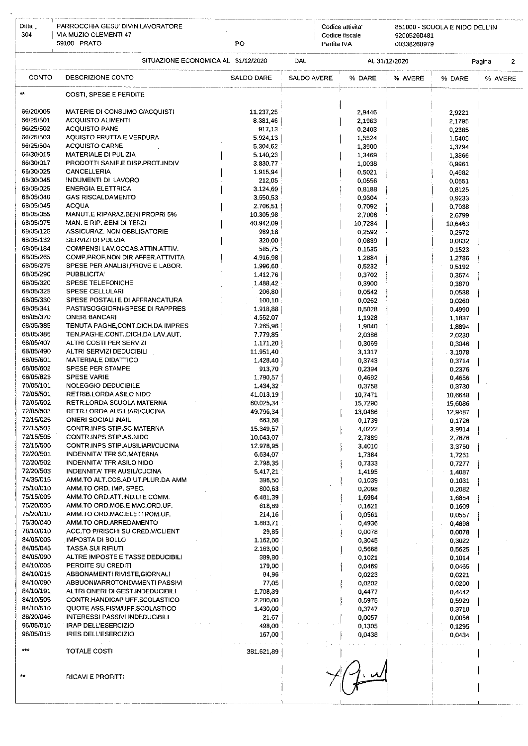| Ditta.                 | PARROCCHIA GESU' DIVIN LAVORATORE                                    |                       |             |                               | Codice attivita  |                            | 851000 - SCUOLA E NIDO DELL'IN |                          |
|------------------------|----------------------------------------------------------------------|-----------------------|-------------|-------------------------------|------------------|----------------------------|--------------------------------|--------------------------|
| 304                    | VIA MUZIO CLEMENTI 47<br>59100 PRATO                                 | PO                    |             | Codice fiscale<br>Partita IVA |                  | 92005260481<br>00338260979 |                                |                          |
|                        | SITUAZIONE ECONOMICA AL 31/12/2020                                   |                       | DAL         |                               |                  | AL 31/12/2020              |                                | Pagina<br>$\overline{2}$ |
| CONTO                  | DESCRIZIONE CONTO                                                    | SALDO DARE            | SALDO AVERE |                               | % DARE           | % AVERE                    | % DARE                         | % AVERE                  |
| **                     | <b>COSTI, SPESE E PERDITE</b>                                        |                       |             |                               |                  |                            |                                |                          |
| 66/20/005              | MATERIE DI CONSUMO C/ACQUISTI                                        | 11.237,25             |             |                               | 2,9446           |                            | 2,9221                         |                          |
| 66/25/501              | <b>ACQUISTO ALIMENTI</b>                                             | 8.381,46              |             |                               | 2,1963           |                            | 2,1795                         |                          |
| 66/25/502              | <b>ACQUISTO PANE</b>                                                 | 917,13                |             |                               | 0,2403           |                            | 0,2385                         |                          |
| 66/25/503              | AQUISTO FRUTTA E VERDURA                                             | 5.924.13              |             |                               | 1,5524           |                            | 1,5405                         |                          |
| 66/25/504<br>66/30/015 | <b>ACQUISTO CARNE</b>                                                | 5.304,62              |             |                               | 1,3900           |                            | 1,3794                         |                          |
| 66/30/017              | MATERIALE DI PULIZIA<br>PRODOTTI SANIF.E DISP.PROT.INDIV             | 5.140,23<br>3.830,77  |             |                               | 1,3469<br>1,0038 |                            | 1,3366<br>0,9961               |                          |
| 66/30/025              | CANCELLERIA                                                          | 1.915,94              |             |                               | 0,5021           |                            | 0,4982                         |                          |
| 66/30/045              | INDUMENTI DI LAVORO                                                  | 212,05                |             |                               | 0,0556           |                            | 0,0551                         |                          |
| 68/05/025              | <b>ENERGIA ELETTRICA</b>                                             | 3.124,69              |             |                               | 0,3188           |                            | 0,8125                         |                          |
| 68/05/040<br>68/05/045 | <b>GAS RISCALDAMENTO</b>                                             | 3.550,53              |             |                               | 0,9304           |                            | 0,9233                         |                          |
| 68/05/055              | <b>ACQUA</b><br>MANUT.E RIPARAZ.BENI PROPRI 5%                       | 2.706,51<br>10.305.98 |             |                               | 0,7092<br>2,7006 |                            | 0,7038<br>2,6799               |                          |
| 68/05/075              | MAN, E RIP, BENI DI TERZI                                            | 40.942,09             |             |                               | 10,7284          |                            | 10,6463                        |                          |
| 68/05/125              | ASSICURAZ. NON OBBLIGATORIE                                          | 989,18                |             |                               | 0,2592           |                            | 0,2572                         |                          |
| 68/05/132              | <b>SERVIZI DI PULIZIA</b>                                            | 320,00                |             |                               | 0,0839           |                            | 0,0832                         |                          |
| 68/05/184              | COMPENSI LAV.OCCAS.ATTIN.ATTIV.                                      | 585,75                |             |                               | 0,1535           |                            | 0,1523                         |                          |
| 68/05/265<br>68/05/275 | COMP PROF NON DIR AFFER ATTIVITA<br>SPESE PER ANALISI PROVE E LABOR. | 4.916,98<br>1.996,60  |             |                               | 1,2884<br>0,5232 |                            | 1,2786                         |                          |
| 68/05/290              | PUBBLICITA'                                                          | 1.412,76              |             |                               | 0,3702           |                            | 0,5192<br>0,3674               |                          |
| 68/05/320              | SPESE TELEFONICHE                                                    | 1.488,42              |             |                               | 0,3900           |                            | 0,3870                         |                          |
| 68/05/325              | <b>SPESE CELLULARI</b>                                               | 206,80                |             |                               | 0,0542           |                            | 0,0538                         |                          |
| 68/05/330              | SPESE POSTALI E DI AFFRANCATURA                                      | 100,10                |             |                               | 0,0262           |                            | 0,0260                         |                          |
| 68/05/341<br>68/05/370 | PASTI/SOGGIORNI-SPESE DI RAPPRES<br><b>ONERI BANCARI</b>             | 1.918,88<br>4.552,07  |             |                               | 0,5028           |                            | 0,4990                         |                          |
| 68/05/385              | TENUTA PAGHE, CONT. DICH. DA IMPRES                                  | 7.265,96              |             |                               | 1,1928<br>1,9040 |                            | 1,1837<br>1,8894               |                          |
| 68/05/386              | TEN.PAGHE,CONT.,DICH.DA LAV.AUT.                                     | 7.779,85              |             |                               | 2,0386           |                            | 2,0230                         |                          |
| 68/05/407              | ALTRI COSTI PER SERVIZI                                              | 1.171,20              |             |                               | 0,3069           |                            | 0,3046                         |                          |
| 68/05/490              | ALTRI SERVIZI DEDUCIBILI                                             | 11.951,40             |             |                               | 3,1317           |                            | 3,1078                         |                          |
| 68/05/601<br>68/05/602 | <b>MATERIALE DIDATTICO</b><br>SPESE PER STAMPE                       | 1.428,40              |             |                               | 0.3743           |                            | 0,3714                         |                          |
| 68/05/823              | <b>SPESE VARIE</b>                                                   | 913,70<br>1.790,57    |             |                               | 0,2394<br>0,4692 |                            | 0,2376<br>0,4656               |                          |
| 70/05/101              | <b>NOLEGGIO DEDUCIBILE</b>                                           | 1.434,32              |             |                               | 0,3758           |                            | 0,3730                         |                          |
| 72/05/501              | RETRIB.LORDA ASILO NIDO                                              | 41.013,19             |             |                               | 10,7471          |                            | 10,6648                        |                          |
| 72/05/502              | RETR.LORDA SCUOLA MATERNA                                            | 60.025,34             |             |                               | 15,7290          |                            | 15,6086                        |                          |
| 72/05/503<br>72/15/025 | RETR.LORDA AUSILIARI/CUCINA<br><b>ONERI SOCIALI INAIL</b>            | 49.796,34             |             |                               | 13,0486          |                            | 12,9487                        |                          |
| 72/15/502              | CONTR.INPS STIP.SC.MATERNA                                           | 663,68<br>15.349,57   |             |                               | 0,1739<br>4,0222 |                            | 0,1726<br>3,9914               |                          |
| 72/15/505              | CONTR.INPS STIP AS.NIDO                                              | 10.643,07             |             |                               | 2,7889           |                            | 2,7676                         |                          |
| 72/15/506              | CONTR.INPS STIP AUSILIARI/CUCINA                                     | 12.978,95             |             |                               | 3,4010           |                            | 3,3750                         |                          |
| 72/20/501              | INDENNITA' TFR SC.MATERNA                                            | 6.634,07              |             |                               | 1,7384           |                            | 1,7251                         |                          |
| 72/20/502<br>72/20/503 | INDENNITA' TFR ASILO NIDO<br>INDENNITA' TFR AUSIL/CUCINA             | 2.798,35<br>5.417,21  |             |                               | 0.7333           |                            | 0,7277                         |                          |
| 74/35/015              | AMM.TO ALT.COS.AD UT.PLUR.DA AMM                                     | 396,50                |             |                               | 1,4195<br>0,1039 |                            | 1,4087<br>0,1031               |                          |
| 75/10/010              | AMM.TO ORD. IMP. SPEC.                                               | 800,63                |             |                               | 0,2098           |                            | 0,2082                         |                          |
| 75/15/005              | AMM.TO ORD.ATT.IND.LI E COMM.                                        | 6.481,39              |             |                               | 1,6984           |                            | 1,6854                         |                          |
| 75/20/005              | AMM.TO ORD.MOB.E MAC.ORD.UF.                                         | 618,69                |             |                               | 0.1621           |                            | 0,1609                         |                          |
| 75/20/010<br>75/30/040 | AMM.TO ORD.MAC.ELETTROM.UF.<br>AMM.TO ORD.ARREDAMENTO                | 214,16<br>1.883,71    |             |                               | 0,0561<br>0,4936 |                            | 0,0557                         |                          |
| 78/10/010              | ACC.TO P/RISCHI SU CRED.V/CLIENT                                     | 29,85                 |             |                               | 0,0078           |                            | 0,4898<br>0,0078               |                          |
| 84/05/005              | <b>IMPOSTA DI BOLLO</b>                                              | 1.162,00              |             |                               | 0,3045           |                            | 0,3022                         |                          |
| 84/05/045              | <b>TASSA SUI RIFIUTI</b>                                             | 2.163,00              |             |                               | 0,5668           |                            | 0,5625                         |                          |
| 84/05/090              | ALTRE IMPOSTE E TASSE DEDUCIBILI                                     | 389,80                |             |                               | 0.1021           |                            | 0,1014                         |                          |
| 84/10/005<br>84/10/015 | PERDITE SU CREDITI<br>ABBONAMENTI RIVISTE, GIORNALI                  | 179,00<br>84,96       |             |                               | 0,0469<br>0,0223 |                            | 0,0465<br>0,0221               |                          |
| 84/10/090              | ABBUONI/ARROTONDAMENTI PASSIVI                                       | 77,05                 |             |                               | 0,0202           |                            | 0,0200                         |                          |
| 84/10/191              | ALTRI ONERI DI GEST.INDEDUCIBILI                                     | 1.708,39              |             |                               | 0,4477           |                            | 0,4442                         |                          |
| 84/10/505              | CONTR.HANDICAP UFF SCOLASTICO                                        | 2.280,00              |             |                               | 0,5975           |                            | 0,5929                         |                          |
| 84/10/510              | QUOTE ASS.FISM/UFF.SCOLASTICO                                        | 1.430,00              |             |                               | 0,3747           |                            | 0,3718                         |                          |
| 88/20/046<br>96/05/010 | <b>INTERESSI PASSIVI INDEDUCIBILI</b><br><b>IRAP DELL'ESERCIZIO</b>  | 21,67<br>498,00       |             |                               | 0,0057           |                            | 0,0056                         |                          |
| 96/05/015              | <b>IRES DELL'ESERCIZIO</b>                                           | 167,00                |             |                               | 0,1305<br>0.0438 |                            | 0,1295<br>0,0434               |                          |
|                        |                                                                      |                       |             |                               |                  |                            |                                |                          |
| $***$                  | TOTALE COSTI                                                         | 381.621,89            |             |                               |                  |                            |                                |                          |
|                        |                                                                      |                       |             |                               |                  |                            |                                |                          |
|                        | <b>RICAVI E PROFITTI</b>                                             |                       |             |                               |                  |                            |                                |                          |
|                        |                                                                      |                       |             |                               |                  |                            |                                |                          |
|                        |                                                                      |                       |             |                               |                  |                            |                                |                          |

 $\hat{\mathcal{A}}$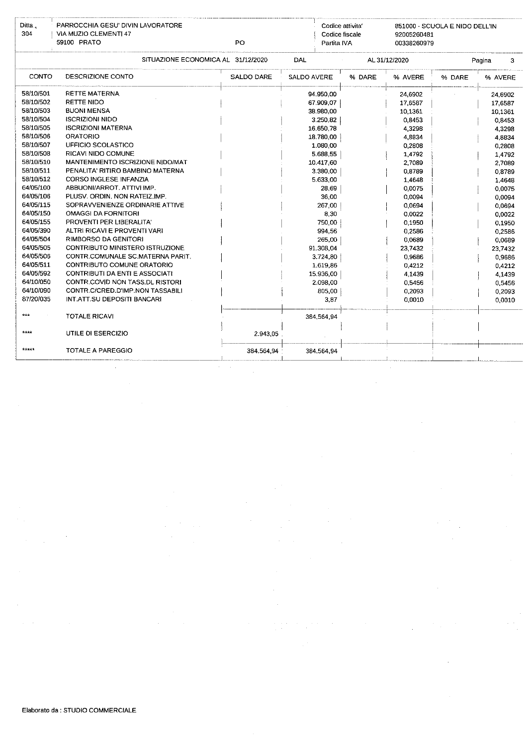| Ditta.<br>304 | PARROCCHIA GESU' DIVIN LAVORATORE<br>VIA MUZIO CLEMENTI 47<br>59100 PRATO | Codice attivita'<br>Codice fiscale<br>Partita IVA | 851000 - SCUOLA E NIDO DELL'IN |        |               |        |             |
|---------------|---------------------------------------------------------------------------|---------------------------------------------------|--------------------------------|--------|---------------|--------|-------------|
|               | SITUAZIONE ECONOMICA AL 31/12/2020                                        |                                                   | DAL                            |        | AL 31/12/2020 |        | Pagina<br>3 |
| CONTO         | DESCRIZIONE CONTO                                                         | <b>SALDO DARE</b>                                 | <b>SALDO AVERE</b>             | % DARE | % AVERE       | % DARE | % AVERE     |
| 58/10/501     | <b>RETTE MATERNA</b>                                                      |                                                   | 94.950,00                      |        | 24 6902       |        | 24,6902     |
| 58/10/502     | <b>RETTE NIDO</b>                                                         |                                                   | 67.909,07                      |        | 17,6587       |        | 17,6587     |
| 58/10/503     | <b>BUONI MENSA</b>                                                        |                                                   | 38.980.00                      |        | 10,1361       |        | 10,1361     |
| 58/10/504     | <b>ISCRIZIONI NIDO</b>                                                    |                                                   | 3.250.82                       |        | 0.8453        |        | 0,8453      |
| 58/10/505     | <b>ISCRIZIONI MATERNA</b>                                                 |                                                   | 16.650.78                      |        | 4,3298        |        | 4.3298      |
| 58/10/506     | <b>ORATORIO</b>                                                           |                                                   | 18.780.00                      |        | 4,8834        |        | 4,8834      |
| 58/10/507     | UFFICIO SCOLASTICO                                                        |                                                   | 1.080.00                       |        | 0,2808        |        | 0,2808      |
| 58/10/508     | RICAVI NIDO COMUNE                                                        |                                                   | 5.688,55                       |        | 1.4792        |        | 1,4792      |
| 58/10/510     | MANTENIMENTO ISCRIZIONE NIDO/MAT                                          |                                                   | 10.417,60                      |        | 2,7089        |        | 2,7089      |
| 58/10/511     | PENALITA' RITIRO BAMBINO MATERNA                                          |                                                   | 3.380,00                       |        | 0.8789        |        | 0,8789      |
| 58/10/512     | <b>CORSO INGLESE INFANZIA</b>                                             |                                                   | 5.633.00                       |        | 1.4648        |        | 1,4648      |
| 64/05/100     | ABBUONI/ARROT. ATTIVI IMP.                                                |                                                   | 28.69                          |        | 0.0075        |        | 0.0075      |
| 64/05/106     | PLUSV, ORDIN, NON RATEIZ IMP.                                             |                                                   | 36.00                          |        | 0,0094        |        | 0.0094      |
| 64/05/115     | SOPRAVVENIENZE ORDINARIE ATTIVE                                           |                                                   | 267 00                         |        | 0,0694        |        | 0.0694      |
| 64/05/150     | <b>OMAGGI DA FORNITORI</b>                                                |                                                   | 8 3 0                          |        | 0.0022        |        | 0,0022      |
| 64/05/155     | PROVENTI PER LIBERALITA'                                                  |                                                   | 750.00                         |        | 0.1950        |        | 0.1950      |
| 64/05/390     | ALTRI RICAVI E PROVENTI VARI                                              |                                                   | 994.56                         |        | 0,2586        |        | 0.2586      |
| 64/05/504     | RIMBORSO DA GENITORI                                                      |                                                   | 265,00                         |        | 0.0689        |        | 0,0689      |
| 64/05/505     | CONTRIBUTO MINISTERO ISTRUZIONE                                           |                                                   | 91.308.04                      |        | 23 7432       |        | 23,7432     |
| 64/05/506     | CONTR.COMUNALE SC MATERNA PARIT.                                          |                                                   | 3.724,80                       |        | 0,9686        |        | 0,9686      |
| 64/05/511     | CONTRIBUTO COMUNE ORATORIO                                                |                                                   | 1.619.86                       |        | 0,4212        |        | 0,4212      |
| 64/05/592     | <b>CONTRIBUTI DA ENTI E ASSOCIATI</b>                                     |                                                   | 15.936.00                      |        | 4.1439        |        | 4.1439      |
| 64/10/050     | CONTR, COVID NON TASS.DL RISTORI                                          |                                                   | 2.098.00                       |        | 0,5456        |        | 0.5456      |
| 64/10/090     | CONTR.C/CRED.D'IMP.NON TASSABILI                                          |                                                   | 805.00                         |        | 0,2093        |        | 0.2093      |
| 87/20/035     | INT ATT.SU DEPOSITI BANCARI                                               |                                                   | 3,87                           |        | 0,0010        |        | 0,0010      |
| $***$         | TOTALE RICAVI                                                             |                                                   | 384,564,94                     |        |               |        |             |
| $****$        | UTILE DI ESERCIZIO                                                        | 2.943,05                                          |                                |        |               |        |             |
| *****         | <b>TOTALE A PAREGGIO</b>                                                  | 384.564,94                                        | 384.564.94                     |        |               |        |             |

 $\hat{\boldsymbol{\beta}}$ 

ł,

 $\mathcal{L}^{\mathcal{A}}$ 

 $\bar{\beta}$ 

 $\hat{\boldsymbol{\beta}}$ 

 $\frac{1}{\sqrt{2}}$ 

 $\frac{1}{2}$ 

 $\epsilon \rightarrow \epsilon$ 

 $\hat{\boldsymbol{\beta}}$ 

 $\bar{z}$ 

 $\hat{\mathcal{A}}$ 

 $\bar{z}$ 

 $\mathcal{P}_{\text{max}}$ 

 $\bar{z}$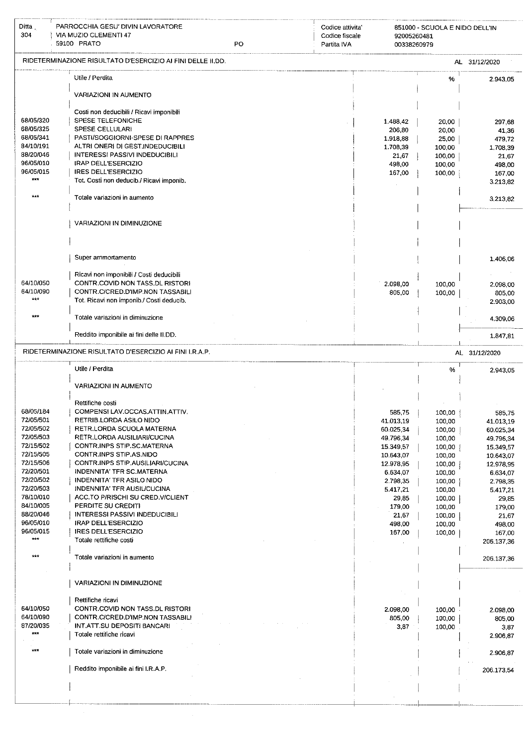| Ditta $\frac{1}{2}$<br>304 | PARROCCHIA GESU' DIVIN LAVORATORE<br>VIA MUZIO CLEMENTI 47<br>59100 PRATO   | PO | Codice attivita<br>Codice fiscale<br>Partita IVA | 92005260481<br>00338260979 | 851000 - SCUOLA E NIDO DELL'IN |                        |
|----------------------------|-----------------------------------------------------------------------------|----|--------------------------------------------------|----------------------------|--------------------------------|------------------------|
|                            | RIDETERMINAZIONE RISULTATO D'ESERCIZIO AI FINI DELLE II DD.                 |    |                                                  |                            |                                | AL 31/12/2020          |
|                            |                                                                             |    |                                                  |                            |                                |                        |
|                            | Utile / Perdita                                                             |    |                                                  |                            | %                              | 2.943,05               |
|                            | VARIAZIONI IN AUMENTO                                                       |    |                                                  |                            |                                |                        |
|                            | Costi non deducibili / Ricavi imponibili                                    |    |                                                  |                            |                                |                        |
| 68/05/320                  | SPESE TELEFONICHE                                                           |    |                                                  | 1.488,42                   | 20,00                          | 297,68                 |
| 68/05/325<br>68/05/341     | <b>SPESE CELLULARI</b><br>PASTI/SOGGIORNI-SPESE DI RAPPRES                  |    |                                                  | 206,80<br>1.918,88         | 20,00<br>25,00                 | 41,36<br>479,72        |
| 84/10/191                  | ALTRI ONERI DI GEST.INDEDUCIBILI                                            |    |                                                  | 1.708,39                   | 100,00                         | 1,708,39               |
| 88/20/046<br>96/05/010     | <b>INTERESSI PASSIVI INDEDUCIBILI</b><br><b>IRAP DELL'ESERCIZIO</b>         |    |                                                  | 21,67                      | 100,00                         | 21,67                  |
| 96/05/015                  | <b>IRES DELL'ESERCIZIO</b>                                                  |    |                                                  | 498,00<br>167,00           | 100,00<br>100,00               | 498,00<br>167,00       |
| $***$                      | Tot. Costi non deducib./ Ricavi imponib.                                    |    |                                                  |                            |                                | 3.213,82               |
| ***                        | Totale variazioni in aumento                                                |    |                                                  |                            |                                | 3,213,82               |
|                            |                                                                             |    |                                                  |                            |                                |                        |
|                            | VARIAZIONI IN DIMINUZIONE                                                   |    |                                                  |                            |                                |                        |
|                            |                                                                             |    |                                                  |                            |                                |                        |
|                            |                                                                             |    |                                                  |                            |                                |                        |
|                            | Super ammortamento                                                          |    |                                                  |                            |                                | 1.406,06               |
|                            |                                                                             |    |                                                  |                            |                                |                        |
| 64/10/050                  | Ricavi non imponibili / Costi deducibili<br>CONTR.COVID NON TASS.DL RISTORI |    |                                                  | 2.098,00                   | 100,00                         | 2.098,00               |
| 64/10/090                  | CONTR.C/CRED.D'IMP.NON TASSABILI                                            |    |                                                  | 805,00                     | 100,00                         | 805,00                 |
| $+ + +$                    | Tot. Ricavi non imponib./ Costi deducib.                                    |    |                                                  |                            |                                | 2.903,00               |
| $+ + +$                    | Totale variazioni in diminuzione                                            |    |                                                  |                            |                                | 4.309,06               |
|                            | Reddito imponibile ai fini delle II.DD.                                     |    |                                                  |                            |                                | 1.847,81               |
|                            | RIDETERMINAZIONE RISULTATO D'ESERCIZIO AI FINI I.R.A.P.                     |    |                                                  |                            |                                | AL 31/12/2020          |
|                            |                                                                             |    |                                                  |                            |                                |                        |
|                            | Utile / Perdita                                                             |    |                                                  |                            | %                              | 2.943,05               |
|                            | VARIAZIONI IN AUMENTO                                                       |    |                                                  |                            |                                |                        |
|                            | Rettifiche costi                                                            |    |                                                  |                            |                                |                        |
| 68/05/184                  | COMPENSI LAV.OCCAS.ATTIN.ATTIV.                                             |    |                                                  | 585,75                     | 100,00                         | 585,75                 |
| 72/05/501<br>72/05/502     | RETRIB.LORDA ASILO NIDO<br>RETR.LORDA SCUOLA MATERNA                        |    |                                                  | 41.013,19                  | 100,00                         | 41.013,19              |
| 72/05/503                  | RETR.LORDA AUSILIARI/CUCINA                                                 |    |                                                  | 60.025,34<br>49.796,34     | 100,00<br>100,00               | 60.025,34<br>49.796,34 |
| 72/15/502                  | CONTR.INPS STIP SC.MATERNA                                                  |    |                                                  | 15.349,57                  | 100,00                         | 15.349,57              |
| 72/15/505<br>72/15/506     | CONTR.INPS STIP.AS.NIDO<br>CONTR.INPS STIP.AUSILIARI/CUCINA                 |    |                                                  | 10.643,07                  | 100,00                         | 10.643,07              |
| 72/20/501                  | <b>INDENNITA' TFR SC.MATERNA</b>                                            |    |                                                  | 12.978,95<br>6.634,07      | 100,00<br>100,00               | 12.978,95<br>6.634,07  |
| 72/20/502                  | INDENNITA' TFR ASILO NIDO                                                   |    |                                                  | 2.798,35                   | 100,00                         | 2.798,35               |
| 72/20/503                  | INDENNITA' TFR AUSIL/CUCINA                                                 |    |                                                  | 5.417,21                   | 100,00                         | 5.417,21               |
| 78/10/010<br>84/10/005     | ACC.TO P/RISCHI SU CRED.V/CLIENT<br>PERDITE SU CREDITI                      |    |                                                  | 29,85<br>179,00            | 100,00<br>100,00               | 29,85<br>179,00        |
| 88/20/046                  | <b>INTERESSI PASSIVI INDEDUCIBILI</b>                                       |    |                                                  | 21,67                      | 100,00                         | 21,67                  |
| 96/05/010                  | <b>IRAP DELL'ESERCIZIO</b>                                                  |    |                                                  | 498,00                     | 100,00                         | 498,00                 |
| 96/05/015<br>$***$         | <b>IRES DELL'ESERCIZIO</b><br>Totale rettifiche costi                       |    |                                                  | 167,00                     | 100,00                         | 167,00<br>206.137,36   |
|                            |                                                                             |    |                                                  |                            |                                |                        |
| $***$                      | Totale variazioni in aumento                                                |    |                                                  |                            |                                | 206.137,36             |
|                            |                                                                             |    |                                                  |                            |                                |                        |
|                            | VARIAZIONI IN DIMINUZIONE                                                   |    |                                                  |                            |                                |                        |
|                            | Rettifiche ricavi                                                           |    |                                                  |                            |                                |                        |
| 64/10/050                  | CONTR.COVID NON TASS.DL RISTORI                                             |    |                                                  | 2.098,00                   | 100,00                         | 2.098,00               |
| 64/10/090<br>87/20/035     | CONTR.C/CRED.D'IMP.NON TASSABILI<br>INT.ATT.SU DEPOSITI BANCARI             |    |                                                  | 805,00<br>3,87             | 100,00<br>100,00               | 805,00                 |
| ***                        | Totale rettifiche ricavi                                                    |    |                                                  |                            |                                | 3,87<br>2.906,87       |
| $***$                      | Totale variazioni in diminuzione                                            |    |                                                  |                            |                                |                        |
|                            |                                                                             |    |                                                  |                            |                                | 2.906,87               |
|                            | Reddito imponibile ai fini I.R.A.P.                                         |    |                                                  |                            |                                | 206.173,54             |
|                            |                                                                             |    |                                                  |                            |                                |                        |
|                            |                                                                             |    |                                                  |                            |                                |                        |
|                            |                                                                             |    |                                                  |                            |                                |                        |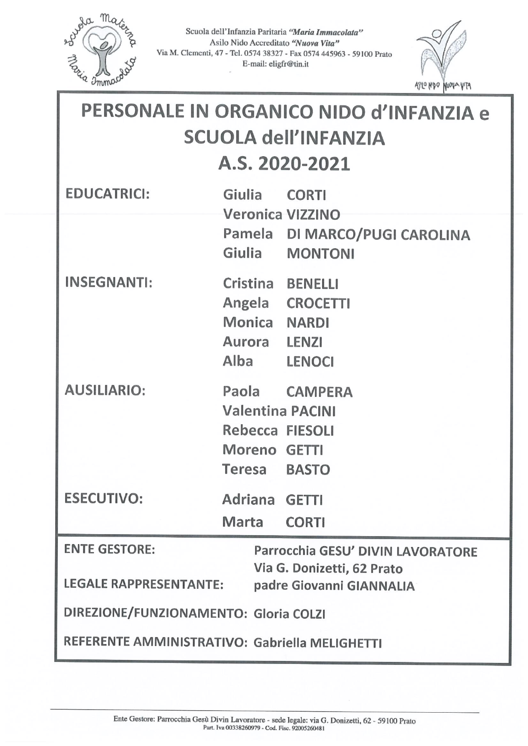

Scuola dell'Infanzia Paritaria "Maria Immacolata" Asilo Nido Accreditato "Nuova Vita" Via M. Clementi, 47 - Tel. 0574 38327 - Fax 0574 445963 - 59100 Prato E-mail: eligfr@tin.it



| PERSONALE IN ORGANICO NIDO d'INFANZIA e<br><b>SCUOLA dell'INFANZIA</b><br>A.S. 2020-2021 |                                                                                   |                                                 |  |
|------------------------------------------------------------------------------------------|-----------------------------------------------------------------------------------|-------------------------------------------------|--|
| <b>EDUCATRICI:</b>                                                                       | Giulia                                                                            | <b>CORTI</b><br><b>Veronica VIZZINO</b>         |  |
|                                                                                          | Giulia                                                                            | Pamela DI MARCO/PUGI CAROLINA<br><b>MONTONI</b> |  |
| <b>INSEGNANTI:</b>                                                                       | Cristina BENELLI<br>Monica NARDI<br>Aurora LENZI<br>Alba LENOCI                   | Angela CROCETTI                                 |  |
| <b>AUSILIARIO:</b>                                                                       | <b>Valentina PACINI</b><br><b>Rebecca FIESOLI</b><br>Moreno GETTI<br>Teresa BASTO | Paola CAMPERA                                   |  |
| <b>ESECUTIVO:</b>                                                                        | <b>Adriana</b><br>Marta                                                           | <b>GETTI</b><br><b>CORTI</b>                    |  |
| <b>ENTE GESTORE:</b><br>Parrocchia GESU' DIVIN LAVORATORE                                |                                                                                   |                                                 |  |
| Via G. Donizetti, 62 Prato<br><b>LEGALE RAPPRESENTANTE:</b><br>padre Giovanni GIANNALIA  |                                                                                   |                                                 |  |
| DIREZIONE/FUNZIONAMENTO: Gloria COLZI                                                    |                                                                                   |                                                 |  |
| REFERENTE AMMINISTRATIVO: Gabriella MELIGHETTI                                           |                                                                                   |                                                 |  |